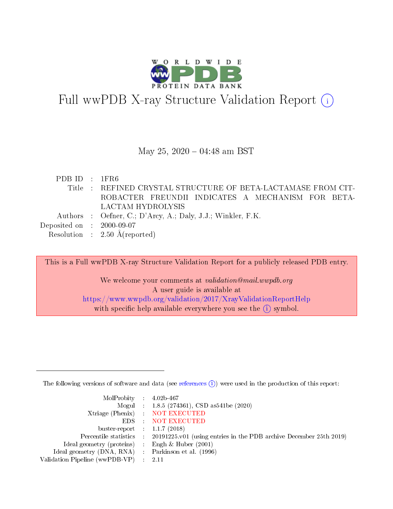

# Full wwPDB X-ray Structure Validation Report (i)

#### May 25,  $2020 - 04:48$  am BST

| PDBID : 1FR6                |                                                              |
|-----------------------------|--------------------------------------------------------------|
|                             | Title: REFINED CRYSTAL STRUCTURE OF BETA-LACTAMASE FROM CIT- |
|                             | ROBACTER FREUNDII INDICATES A MECHANISM FOR BETA-            |
|                             | LACTAM HYDROLYSIS                                            |
|                             | Authors : Oefner, C.; D'Arcy, A.; Daly, J.J.; Winkler, F.K.  |
| Deposited on : $2000-09-07$ |                                                              |
|                             | Resolution : $2.50 \text{ Å}$ (reported)                     |

This is a Full wwPDB X-ray Structure Validation Report for a publicly released PDB entry. We welcome your comments at validation@mail.wwpdb.org A user guide is available at <https://www.wwpdb.org/validation/2017/XrayValidationReportHelp> with specific help available everywhere you see the  $(i)$  symbol.

The following versions of software and data (see [references](https://www.wwpdb.org/validation/2017/XrayValidationReportHelp#references)  $(i)$ ) were used in the production of this report:

| MolProbity : $4.02b-467$                            |                                                                                            |
|-----------------------------------------------------|--------------------------------------------------------------------------------------------|
|                                                     | Mogul : 1.8.5 (274361), CSD as541be (2020)                                                 |
|                                                     | Xtriage (Phenix) NOT EXECUTED                                                              |
|                                                     | EDS : NOT EXECUTED                                                                         |
| buster-report : $1.1.7(2018)$                       |                                                                                            |
|                                                     | Percentile statistics : 20191225.v01 (using entries in the PDB archive December 25th 2019) |
| Ideal geometry (proteins) : Engh $\&$ Huber (2001)  |                                                                                            |
| Ideal geometry (DNA, RNA) : Parkinson et al. (1996) |                                                                                            |
| Validation Pipeline (wwPDB-VP) : 2.11               |                                                                                            |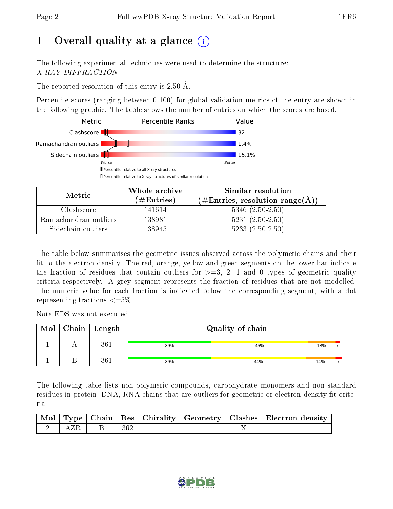# 1 [O](https://www.wwpdb.org/validation/2017/XrayValidationReportHelp#overall_quality)verall quality at a glance  $(i)$

The following experimental techniques were used to determine the structure: X-RAY DIFFRACTION

The reported resolution of this entry is 2.50 Å.

Percentile scores (ranging between 0-100) for global validation metrics of the entry are shown in the following graphic. The table shows the number of entries on which the scores are based.



| Metric                | Whole archive        | Similar resolution                                           |
|-----------------------|----------------------|--------------------------------------------------------------|
|                       | $(\#\text{Entries})$ | $(\#\text{Entries}, \text{resolution range}(\textup{\AA})\)$ |
| Clashscore            | 141614               | $5346$ $(2.50-2.50)$                                         |
| Ramachandran outliers | 138981               | $5231 (2.50 - 2.50)$                                         |
| Sidechain outliers    | 138945               | $5233(2.50-2.50)$                                            |

The table below summarises the geometric issues observed across the polymeric chains and their fit to the electron density. The red, orange, yellow and green segments on the lower bar indicate the fraction of residues that contain outliers for  $\geq=3$ , 2, 1 and 0 types of geometric quality criteria respectively. A grey segment represents the fraction of residues that are not modelled. The numeric value for each fraction is indicated below the corresponding segment, with a dot representing fractions  $\epsilon = 5\%$ 

Note EDS was not executed.

| Mol | $Chain$ Length | Quality of chain |     |     |  |
|-----|----------------|------------------|-----|-----|--|
|     | 361            | 39%              | 45% | 13% |  |
|     | 361            | 39%              | 44% | 14% |  |

The following table lists non-polymeric compounds, carbohydrate monomers and non-standard residues in protein, DNA, RNA chains that are outliers for geometric or electron-density-fit criteria:

|  |                   |                               |  | Mol   Type   Chain   Res   Chirality   Geometry   Clashes   Electron density |
|--|-------------------|-------------------------------|--|------------------------------------------------------------------------------|
|  | 2   AZR   B   362 | the control of the control of |  |                                                                              |

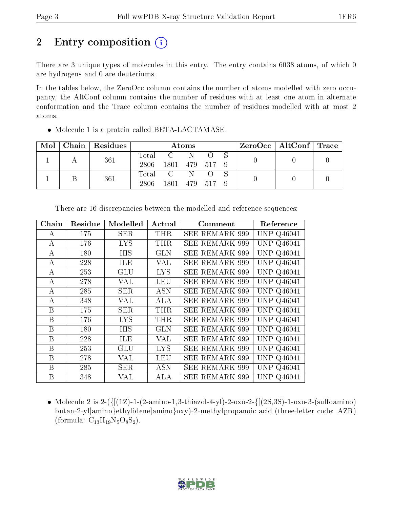# 2 Entry composition  $\left( \cdot \right)$

There are 3 unique types of molecules in this entry. The entry contains 6038 atoms, of which 0 are hydrogens and 0 are deuteriums.

In the tables below, the ZeroOcc column contains the number of atoms modelled with zero occupancy, the AltConf column contains the number of residues with at least one atom in alternate conformation and the Trace column contains the number of residues modelled with at most 2 atoms.

| Mol | Chain Residues | Atoms |                |         |  |  | $ZeroOcc \mid AltConf \mid Trace$ |  |  |
|-----|----------------|-------|----------------|---------|--|--|-----------------------------------|--|--|
|     | 361            | Total |                | 'N.     |  |  |                                   |  |  |
|     |                | 2806  | 1801 479 517 9 |         |  |  |                                   |  |  |
|     | 361            | Total |                | N.      |  |  |                                   |  |  |
|     |                | 2806  | 1801           | 479 517 |  |  |                                   |  |  |

• Molecule 1 is a protein called BETA-LACTAMASE.

| Chain        | Residue | Modelled   | Actual     | Comment               | Reference         |
|--------------|---------|------------|------------|-----------------------|-------------------|
| A            | 175     | SER        | <b>THR</b> | <b>SEE REMARK 999</b> | <b>UNP Q46041</b> |
| A            | 176     | <b>LYS</b> | THR        | <b>SEE REMARK 999</b> | <b>UNP Q46041</b> |
| А            | 180     | HIS        | <b>GLN</b> | <b>SEE REMARK 999</b> | <b>UNP Q46041</b> |
| А            | 228     | ILE        | VAL        | <b>SEE REMARK 999</b> | <b>UNP Q46041</b> |
| A            | 253     | GLU        | <b>LYS</b> | <b>SEE REMARK 999</b> | <b>UNP Q46041</b> |
| А            | 278     | VAL        | <b>LEU</b> | <b>SEE REMARK 999</b> | <b>UNP Q46041</b> |
| A            | 285     | <b>SER</b> | <b>ASN</b> | <b>SEE REMARK 999</b> | <b>UNP Q46041</b> |
| А            | 348     | VAL        | <b>ALA</b> | <b>SEE REMARK 999</b> | <b>UNP Q46041</b> |
| B            | 175     | SER        | THR        | <b>SEE REMARK 999</b> | <b>UNP Q46041</b> |
| $\mathbf B$  | 176     | <b>LYS</b> | THR        | <b>SEE REMARK 999</b> | <b>UNP Q46041</b> |
| B            | 180     | НIS        | <b>GLN</b> | <b>SEE REMARK 999</b> | <b>UNP Q46041</b> |
| $\mathbf{B}$ | 228     | ILE        | VAL        | <b>SEE REMARK 999</b> | <b>UNP Q46041</b> |
| $\mathbf B$  | 253     | <b>GLU</b> | <b>LYS</b> | <b>SEE REMARK 999</b> | <b>UNP Q46041</b> |
| B            | 278     | VAL        | <b>LEU</b> | <b>SEE REMARK 999</b> | <b>UNP Q46041</b> |
| Β            | 285     | <b>SER</b> | <b>ASN</b> | <b>SEE REMARK 999</b> | <b>UNP Q46041</b> |
| B            | 348     | VAL        | <b>ALA</b> | <b>SEE REMARK 999</b> | UNP Q46041        |

There are 16 discrepancies between the modelled and reference sequences:

• Molecule 2 is 2-( $\{[(1Z)-1-(2-amin-1,3-thiaz-1-4-y])\}$ -0xo-2- $\{[(2S,3S)-1-0X-1-3-(subfanh-1-1,3-thiaz-1-4-y])\}$ butan-2-yl]amino}ethylidene]amino}oxy)-2-methylpropanoic acid (three-letter code: AZR) (formula:  $C_{13}H_{19}N_5O_8S_2$ ).

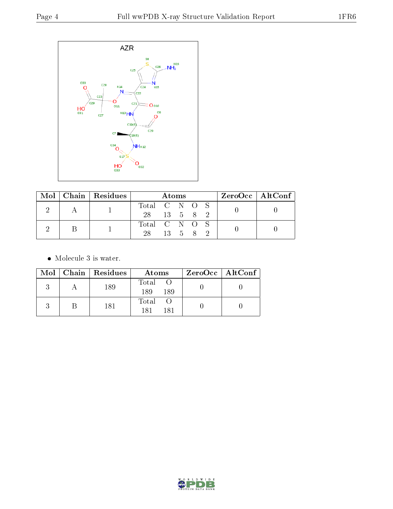

|  |  | $Mol$   Chain   Residues |               |          | Atoms |  | $ZeroOcc \mid AltConf \mid$ |  |
|--|--|--------------------------|---------------|----------|-------|--|-----------------------------|--|
|  |  |                          | Total C N O S |          |       |  |                             |  |
|  |  | 28 13 5 8 2              |               |          |       |  |                             |  |
|  |  |                          | Total C N O S |          |       |  |                             |  |
|  |  |                          | 28.           | 13 5 8 2 |       |  |                             |  |

 $\bullet\,$  Molecule 3 is water.

|  | $Mol$   Chain   Residues | Atoms               | $ZeroOcc \mid AltConf \mid$ |
|--|--------------------------|---------------------|-----------------------------|
|  | 189                      | Total<br>189<br>189 |                             |
|  | 181                      | Total<br>181<br>181 |                             |

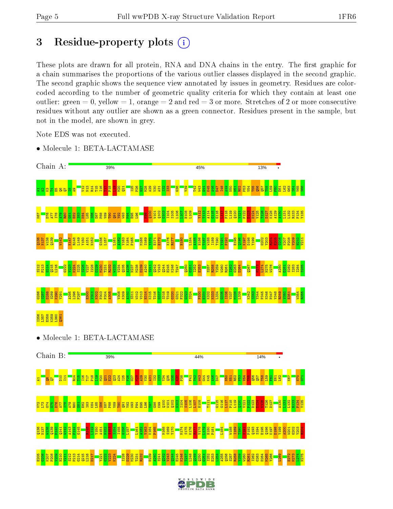# 3 Residue-property plots  $(i)$

These plots are drawn for all protein, RNA and DNA chains in the entry. The first graphic for a chain summarises the proportions of the various outlier classes displayed in the second graphic. The second graphic shows the sequence view annotated by issues in geometry. Residues are colorcoded according to the number of geometric quality criteria for which they contain at least one outlier: green  $= 0$ , yellow  $= 1$ , orange  $= 2$  and red  $= 3$  or more. Stretches of 2 or more consecutive residues without any outlier are shown as a green connector. Residues present in the sample, but not in the model, are shown in grey.

Note EDS was not executed.



• Molecule 1: BETA-LACTAMASE

• Molecule 1: BETA-LACTAMASE

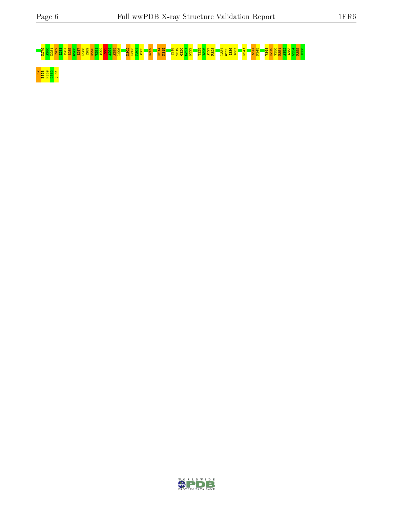![](_page_5_Picture_3.jpeg)

L35<mark>8 9 9 5 1</mark><br>E358 9 9 5 1<br>L358 2 9 3 1

![](_page_5_Picture_5.jpeg)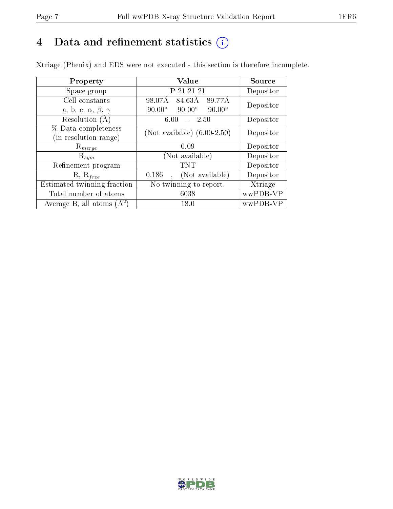# 4 Data and refinement statistics  $(i)$

Xtriage (Phenix) and EDS were not executed - this section is therefore incomplete.

| Property                               | Value                                           | Source    |  |
|----------------------------------------|-------------------------------------------------|-----------|--|
| Space group                            | P 21 21 21                                      | Depositor |  |
| Cell constants                         | 98.07Å<br>84.63Å<br>89.77Å                      | Depositor |  |
| a, b, c, $\alpha$ , $\beta$ , $\gamma$ | $90.00^\circ$<br>$90.00^\circ$<br>$90.00^\circ$ |           |  |
| Resolution (A)                         | $-2.50$<br>6.00                                 | Depositor |  |
| % Data completeness                    | (Not available) $(6.00-2.50)$                   | Depositor |  |
| in resolution range)                   |                                                 |           |  |
| $\mathrm{R}_{merge}$                   | 0.09                                            | Depositor |  |
| $\mathrm{R}_{sym}$                     | (Not available)                                 | Depositor |  |
| Refinement program                     | <b>TNT</b>                                      | Depositor |  |
| $R, R_{free}$                          | (Not available)<br>0.186                        | Depositor |  |
| Estimated twinning fraction            | No twinning to report.                          | Xtriage   |  |
| Total number of atoms                  | 6038                                            | wwPDB-VP  |  |
| Average B, all atoms $(A^2)$           | 18.0                                            | wwPDB-VP  |  |

![](_page_6_Picture_6.jpeg)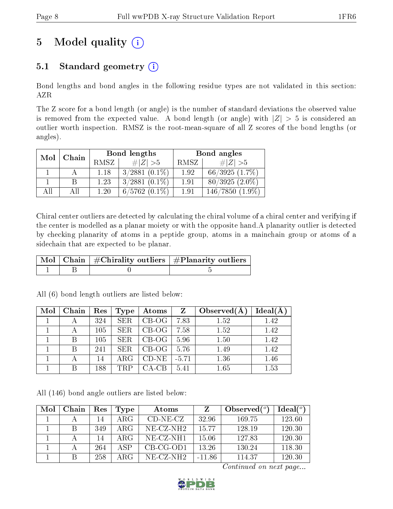# 5 Model quality  $(i)$

# 5.1 Standard geometry  $(i)$

Bond lengths and bond angles in the following residue types are not validated in this section: AZR

The Z score for a bond length (or angle) is the number of standard deviations the observed value is removed from the expected value. A bond length (or angle) with  $|Z| > 5$  is considered an outlier worth inspection. RMSZ is the root-mean-square of all Z scores of the bond lengths (or angles).

| Mol | Chain |      | Bond lengths       | Bond angles |                   |  |
|-----|-------|------|--------------------|-------------|-------------------|--|
|     |       | RMSZ | $\# Z  > 5$        | <b>RMSZ</b> | $\# Z  > 5$       |  |
|     |       | 1.18 | $3/2881$ $(0.1\%)$ | 1.92        | 66/3925(1.7%)     |  |
|     |       | 1.23 | $3/2881$ $(0.1\%)$ | 1.91        | $80/3925(2.0\%)$  |  |
| AH  | ΑH    | 1 20 | $6/5762(0.1\%)$    | 1.91        | $146/7850(1.9\%)$ |  |

Chiral center outliers are detected by calculating the chiral volume of a chiral center and verifying if the center is modelled as a planar moiety or with the opposite hand.A planarity outlier is detected by checking planarity of atoms in a peptide group, atoms in a mainchain group or atoms of a sidechain that are expected to be planar.

|  | $\mid$ Mol $\mid$ Chain $\mid$ #Chirality outliers $\mid$ #Planarity outliers $^{\prime}$ |
|--|-------------------------------------------------------------------------------------------|
|  |                                                                                           |

| Mol | Chain | Res | Type       | Atoms   | $\mathbf{Z}$ | Observed $(A)$ | $Ideal(\AA)$ |
|-----|-------|-----|------------|---------|--------------|----------------|--------------|
|     |       | 324 | <b>SER</b> | $CB-OG$ | 7.83         | 1.52           | 1.42         |
|     |       | 105 | <b>SER</b> | $CB-OG$ | 7.58         | 1.52           | 1.42         |
|     | В     | 105 | <b>SER</b> | $CB-OG$ | 5.96         | 1.50           | 1.42         |
|     | B     | 241 | <b>SER</b> | $CB-OG$ | 5.76         | 1.49           | 1.42         |
|     |       | 14  | $\rm{ARG}$ | $CD-NE$ | $-5.71$      | 1.36           | 1.46         |
|     | R     | 188 | TRP        | CA-CB   | 5.41         | 1.65           | 1.53         |

All (6) bond length outliers are listed below:

All (146) bond angle outliers are listed below:

| Mol | Chain | Res | <b>Type</b> | <b>Atoms</b> | Z        | Observed $(°)$ | Ideal(°) |
|-----|-------|-----|-------------|--------------|----------|----------------|----------|
|     |       | 14  | ARG         | $CD-NE- CZ$  | 32.96    | 169.75         | 123.60   |
|     | В     | 349 | ARG         | $NE-CZ-NH2$  | 1577     | 128.19         | 120.30   |
|     |       | 14  | A R G       | NE-CZ-NH1    | 15.06    | 127.83         | 120.30   |
|     |       | 264 | A SP        | $CB-CG-OD1$  | 13.26    | 130.24         | 118.30   |
|     | B     | 258 | A R G       | $NE-CZ-NH2$  | $-11.86$ | 114.37         | 120.30   |

![](_page_7_Picture_15.jpeg)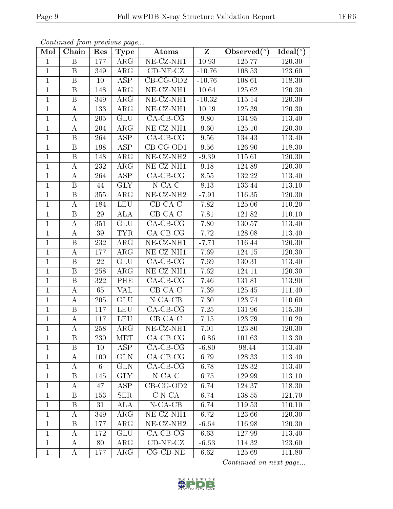|--|

|                | Continued from previous page |     |             |                                       |                         |                |                      |
|----------------|------------------------------|-----|-------------|---------------------------------------|-------------------------|----------------|----------------------|
| Mol            | Chain                        | Res | <b>Type</b> | Atoms                                 | $\overline{\mathrm{z}}$ | Observed $(°)$ | Ideal $({}^{\circ})$ |
| $\overline{1}$ | B                            | 177 | $\rm{ARG}$  | $NE- CZ- N H1$                        | 10.93                   | 125.77         | 120.30               |
| $\mathbf{1}$   | $\boldsymbol{B}$             | 349 | ARG         | $CD-NE- CZ$                           | $-10.76$                | 108.53         | 123.60               |
| $\mathbf{1}$   | $\overline{\mathrm{B}}$      | 10  | <b>ASP</b>  | $CB-CG-OD2$                           | $-10.76$                | 108.61         | 118.30               |
| $\mathbf{1}$   | B                            | 148 | $\rm{ARG}$  | $NE- CZ-NH1$                          | 10.64                   | 125.62         | 120.30               |
| $\mathbf{1}$   | B                            | 349 | ARG         | NE-CZ-NH1                             | $-10.32$                | 115.14         | 120.30               |
| $\mathbf{1}$   | А                            | 133 | $\rm{ARG}$  | NE-CZ-NH1                             | 10.19                   | 125.39         | 120.30               |
| $\mathbf{1}$   | A                            | 205 | <b>GLU</b>  | $CA$ -CB-CG                           | 9.80                    | 134.95         | 113.40               |
| $\mathbf{1}$   | А                            | 204 | $\rm{ARG}$  | NE-CZ-NH1                             | 9.60                    | 125.10         | 120.30               |
| $\mathbf{1}$   | B                            | 264 | <b>ASP</b>  | $CA-CB-CG$                            | 9.56                    | 134.43         | 113.40               |
| $\mathbf{1}$   | B                            | 198 | ASP         | $CB-CG-OD1$                           | 9.56                    | 126.90         | 118.30               |
| $\mathbf{1}$   | B                            | 148 | $\rm{ARG}$  | $NE- CZ-NH2$                          | $-9.39$                 | 115.61         | 120.30               |
| $\mathbf{1}$   | А                            | 232 | ARG         | $\overline{\text{NE- CZ-N}}\text{H1}$ | 9.18                    | 124.89         | 120.30               |
| $\mathbf{1}$   | А                            | 264 | <b>ASP</b>  | $CA-CB-CG$                            | 8.55                    | 132.22         | 113.40               |
| $\mathbf{1}$   | B                            | 44  | <b>GLY</b>  | $N$ -CA-C                             | 8.13                    | 133.44         | 113.10               |
| $\mathbf{1}$   | B                            | 355 | ARG         | $NE- CZ-NH2$                          | $-7.91$                 | 116.35         | 120.30               |
| $\mathbf{1}$   | А                            | 184 | <b>LEU</b>  | $CB-CA-C$                             | 7.82                    | 125.06         | 110.20               |
| $\mathbf{1}$   | B                            | 29  | <b>ALA</b>  | $CB-CA-C$                             | 7.81                    | 121.82         | 110.10               |
| $\mathbf{1}$   | А                            | 351 | <b>GLU</b>  | $CA$ -CB-CG                           | 7.80                    | 130.57         | 113.40               |
| $\mathbf{1}$   | A                            | 39  | <b>TYR</b>  | $CA-CB-CG$                            | 7.72                    | 128.08         | 113.40               |
| $\mathbf{1}$   | B                            | 232 | ARG         | NE-CZ-NH1                             | $-7.71$                 | 116.44         | 120.30               |
| $\mathbf{1}$   | А                            | 177 | $\rm{ARG}$  | NE-CZ-NH1                             | 7.69                    | 124.15         | 120.30               |
| $\overline{1}$ | $\overline{\mathrm{B}}$      | 22  | GLU         | $CA-CB-CG$                            | 7.69                    | 130.31         | 113.40               |
| $\mathbf{1}$   | Β                            | 258 | $\rm{ARG}$  | NE-CZ-NH1                             | 7.62                    | 124.11         | 120.30               |
| $\mathbf{1}$   | B                            | 322 | PHE         | $CA-CB-CG$                            | 7.46                    | 131.81         | 113.90               |
| $\mathbf{1}$   | А                            | 65  | VAL         | $CB-CA-C$                             | 7.39                    | 125.45         | 111.40               |
| $\mathbf{1}$   | A                            | 205 | <b>GLU</b>  | $N$ -CA-CB                            | 7.30                    | 123.74         | 110.60               |
| $\mathbf{1}$   | B                            | 117 | <b>LEU</b>  | $CA-CB-CG$                            | 7.25                    | 131.96         | 115.30               |
| $\mathbf{1}$   | А                            | 117 | <b>LEU</b>  | $CB-CA-C$                             | 7.15                    | 123.79         | 110.20               |
| $\mathbf{1}$   | А                            | 258 | $\rm{ARG}$  | $NE-CL-NH1$                           | 7.01                    | 123.80         | 120.30               |
| $\mathbf{1}$   | B                            | 230 | <b>MET</b>  | $CA-CB-CG$                            | $-6.86$                 | 101.63         | 113.30               |
| $\mathbf{1}$   | Β                            | 10  | ASP         | $CA-CB-CG$                            | $-6.80$                 | 98.44          | 113.40               |
| $\mathbf{1}$   | А                            | 100 | <b>GLN</b>  | $CA-CB-CG$                            | 6.79                    | 128.33         | 113.40               |
| $\mathbf{1}$   | A                            | 6   | <b>GLN</b>  | $CA-CB-CG$                            | 6.78                    | 128.32         | 113.40               |
| $\mathbf{1}$   | Β                            | 145 | <b>GLY</b>  | $N$ -CA-C                             | 6.75                    | 129.99         | 113.10               |
| $\mathbf{1}$   | A                            | 47  | ASP         | $CB-CG-OD2$                           | 6.74                    | 124.37         | 118.30               |
| $\mathbf{1}$   | $\mathbf B$                  | 153 | <b>SER</b>  | $C-N-CA$                              | 6.74                    | 138.55         | 121.70               |
| $\mathbf{1}$   | $\boldsymbol{B}$             | 31  | ALA         | $N$ -CA-CB                            | 6.74                    | 119.53         | 110.10               |
| $\mathbf{1}$   | A                            | 349 | $\rm{ARG}$  | $NE- CZ-NH1$                          | 6.72                    | 123.66         | 120.30               |
| $\mathbf{1}$   | B                            | 177 | $\rm{ARG}$  | $NE- CZ-NH2$                          | $-6.64$                 | 116.98         | 120.30               |
| $\mathbf{1}$   | Α                            | 172 | <b>GLU</b>  | $CA-CB-CG$                            | 6.63                    | 127.99         | 113.40               |
| $\mathbf{1}$   | Α                            | 80  | $\rm{ARG}$  | $CD-NE- CZ$                           | $-6.63$                 | 114.32         | 123.60               |
| $\mathbf{1}$   | A                            | 177 | $\rm{ARG}$  | $CG$ - $CD$ - $NE$                    | 6.62                    | 125.69         | $111.80\,$           |

![](_page_8_Picture_5.jpeg)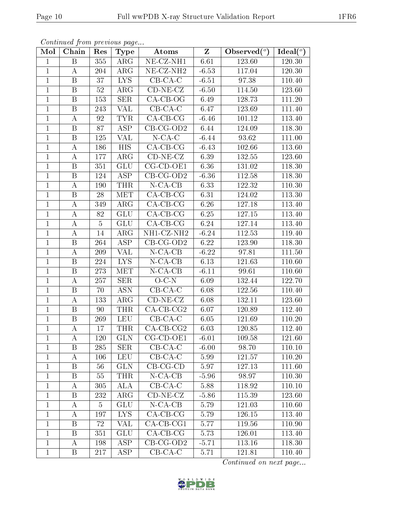| Mol            | Chain            | Res            | Type             | Atoms                        | $\overline{\mathbf{Z}}$ | Observed $(°)$ | Ideal $(°)$ |
|----------------|------------------|----------------|------------------|------------------------------|-------------------------|----------------|-------------|
| $\mathbf{1}$   | B                | 355            | $\rm{ARG}$       | NE-CZ-NH1                    | 6.61                    | 123.60         | 120.30      |
| $\mathbf{1}$   | $\bf{A}$         | 204            | $\rm{ARG}$       | NE-CZ-NH <sub>2</sub>        | $-6.53$                 | 117.04         | 120.30      |
| $\mathbf{1}$   | $\mathbf{B}$     | 37             | LYS <sup>1</sup> | $CB-CA-C$                    | $-6.51$                 | 97.38          | 110.40      |
| $\mathbf{1}$   | $\, {\bf B}$     | $52\,$         | $\rm{ARG}$       | $CD-NE- CZ$                  | $-6.50$                 | 114.50         | 123.60      |
| $\mathbf{1}$   | B                | 153            | <b>SER</b>       | $CA-CB-OG$                   | 6.49                    | 128.73         | 111.20      |
| $\mathbf{1}$   | $\boldsymbol{B}$ | 243            | VAL              | $CB-CA-C$                    | 6.47                    | 123.69         | 111.40      |
| $\mathbf{1}$   | $\bf{A}$         | 92             | TYR.             | $CA-CB-CG$                   | $-6.46$                 | 101.12         | 113.40      |
| $\mathbf{1}$   | $\mathbf{B}$     | 87             | ASP              | $CB-CG-OD2$                  | 6.44                    | 124.09         | 118.30      |
| $\mathbf{1}$   | $\, {\bf B}$     | 125            | <b>VAL</b>       | $N$ -CA-C                    | $-6.44$                 | 93.62          | 111.00      |
| $\mathbf{1}$   | A                | 186            | HIS <sup>1</sup> | $\overline{CA-CB-CG}$        | $-6.43$                 | 102.66         | 113.60      |
| $\mathbf{1}$   | A                | 177            | $\rm{ARG}$       | $CD-NE- CZ$                  | 6.39                    | 132.55         | 123.60      |
| $\mathbf{1}$   | $\mathbf{B}$     | 351            | GLU              | $CG$ - $CD$ - $OE1$          | 6.36                    | 131.02         | 118.30      |
| $\mathbf 1$    | $\mathbf{B}$     | 124            | ASP              | $CB$ -CG-OD2                 | $-6.36$                 | 112.58         | 118.30      |
| $\mathbf{1}$   | $\bf{A}$         | 190            | <b>THR</b>       | $N$ -CA-CB                   | 6.33                    | 122.32         | 110.30      |
| $\mathbf{1}$   | $\mathbf{B}$     | 28             | <b>MET</b>       | $CA-CB-CG$                   | 6.31                    | 124.02         | 113.30      |
| $\mathbf{1}$   | $\bf{A}$         | 349            | $\rm{ARG}$       | $CA-CB-CG$                   | 6.26                    | 127.18         | 113.40      |
| $\overline{1}$ | $\overline{A}$   | 82             | GLU              | $CA-CB-CG$                   | 6.25                    | 127.15         | 113.40      |
| $\mathbf{1}$   | $\boldsymbol{A}$ | $\overline{5}$ | <b>GLU</b>       | $CA-CB-CG$                   | 6.24                    | 127.14         | 113.40      |
| $\mathbf{1}$   | $\boldsymbol{A}$ | 14             | $\rm{ARG}$       | NH1-CZ-NH2                   | $-6.24$                 | 112.53         | 119.40      |
| $\mathbf{1}$   | B                | 264            | ASP              | $CB-CG-OD2$                  | 6.22                    | 123.90         | 118.30      |
| $\mathbf{1}$   | $\bf{A}$         | 209            | <b>VAL</b>       | $N$ -CA-CB                   | $-6.22$                 | 97.81          | 111.50      |
| $\mathbf{1}$   | $\overline{B}$   | 224            | <b>LYS</b>       | $N$ -CA-CB                   | 6.13                    | 121.63         | 110.60      |
| $\mathbf{1}$   | $\, {\bf B}$     | 273            | <b>MET</b>       | $N$ -CA-CB                   | $-6.11$                 | 99.61          | 110.60      |
| $\mathbf{1}$   | $\bf{A}$         | 257            | <b>SER</b>       | $O-C-N$                      | 6.09                    | 132.44         | 122.70      |
| $\mathbf{1}$   | $\mathbf{B}$     | 70             | <b>ASN</b>       | $CB-CA-C$                    | 6.08                    | 122.56         | 110.40      |
| $\mathbf{1}$   | $\bf{A}$         | 133            | $\rm{ARG}$       | $\overline{\text{CD-NE-CZ}}$ | 6.08                    | 132.11         | 123.60      |
| $\mathbf{1}$   | $\mathbf{B}$     | 90             | <b>THR</b>       | $CA$ -CB-CG2                 | 6.07                    | 120.89         | 112.40      |
| $\mathbf{1}$   | $\mathbf{B}$     | 269            | <b>LEU</b>       | $CB-CA-C$                    | 6.05                    | 121.69         | 110.20      |
| $\overline{1}$ | $\bf{A}$         | 17             | <b>THR</b>       | $CA$ -CB-CG2                 | 6.03                    | 120.85         | 112.40      |
| $\mathbf 1$    | А                | 120            | GLN              | $CG$ - $CD$ - $OE1$          | $-6.01$                 | 109.58         | 121.60      |
| $\mathbf{1}$   | B                | 285            | <b>SER</b>       | $CB-CA-C$                    | $-6.00$                 | 98.70          | 110.10      |
| $\mathbf{1}$   | A                | 106            | <b>LEU</b>       | $CB-CA-C$                    | 5.99                    | 121.57         | 110.20      |
| $\mathbf{1}$   | B                | 56             | <b>GLN</b>       | $CB-CG-CD$                   | 5.97                    | 127.13         | 111.60      |
| $\mathbf{1}$   | B                | 55             | <b>THR</b>       | $N$ -CA-CB                   | $-5.96$                 | 98.97          | 110.30      |
| $\mathbf{1}$   | A                | 305            | <b>ALA</b>       | $CB-CA-C$                    | 5.88                    | 118.92         | 110.10      |
| $\mathbf{1}$   | B                | 232            | $\rm{ARG}$       | $CD-NE- CZ$                  | $-5.86$                 | 115.39         | 123.60      |
| $\mathbf{1}$   | А                | 5              | GLU              | $N$ -CA-CB                   | 5.79                    | 121.03         | 110.60      |
| $\mathbf{1}$   | А                | 197            | <b>LYS</b>       | $CA-CB-CG$                   | 5.79                    | 126.15         | 113.40      |
| $\mathbf{1}$   | B                | 72             | VAL              | $CA$ -CB-CG1                 | 5.77                    | 119.56         | 110.90      |
| $\mathbf{1}$   | B                | 351            | <b>GLU</b>       | $CA-CB-CG$                   | 5.73                    | 126.01         | 113.40      |
| $\mathbf{1}$   | А                | 198            | ASP              | $CB-CG-OD2$                  | $-5.71$                 | 113.16         | 118.30      |
| $\mathbf{1}$   | B                | 217            | ASP              | $CB-CA-C$                    | 5.71                    | 121.81         | 110.40      |

![](_page_9_Picture_6.jpeg)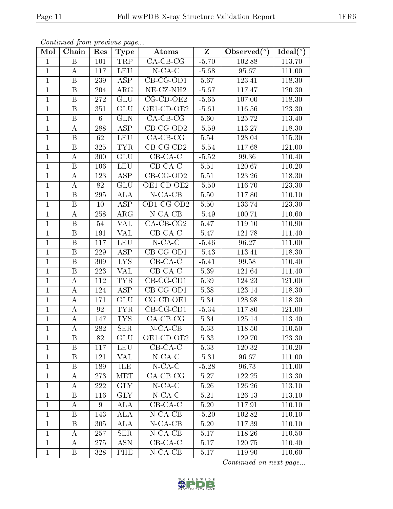| Mol          | Chain                   | Res             | Type                    | Atoms                         | $\mathbf{Z}$ | Observed $(°)$ | Ideal $(°)$ |
|--------------|-------------------------|-----------------|-------------------------|-------------------------------|--------------|----------------|-------------|
| $\mathbf{1}$ | $\boldsymbol{B}$        | 101             | TRP                     | $CA-CB-CG$                    | $-5.70$      | 102.88         | 113.70      |
| $\mathbf{1}$ | $\boldsymbol{A}$        | 117             | <b>LEU</b>              | $N$ -CA-C                     | $-5.68$      | 95.67          | 111.00      |
| $\mathbf{1}$ | $\, {\bf B}$            | 239             | $\overline{\text{ASP}}$ | $CB-CG-OD1$                   | 5.67         | 123.41         | 118.30      |
| $\mathbf{1}$ | B                       | 204             | $\rm{ARG}$              | NE-CZ-NH <sub>2</sub>         | $-5.67$      | 117.47         | 120.30      |
| $\mathbf{1}$ | $\overline{\mathrm{B}}$ | 272             | GLU                     | $CG-CD-OE2$                   | $-5.65$      | 107.00         | 118.30      |
| $\mathbf{1}$ | B                       | 351             | GLU                     | OE1-CD-OE2                    | $-5.61$      | 116.56         | 123.30      |
| $\mathbf{1}$ | $\boldsymbol{B}$        | $6\phantom{.}6$ | <b>GLN</b>              | $CA-CB-CG$                    | 5.60         | 125.72         | 113.40      |
| $\mathbf{1}$ | A                       | 288             | ASP                     | $CB-CG-OD2$                   | $-5.59$      | 113.27         | 118.30      |
| $\mathbf{1}$ | $\mathbf B$             | 62              | <b>LEU</b>              | $CA-CB-CG$                    | 5.54         | 128.04         | 115.30      |
| $\mathbf{1}$ | $\mathbf{B}$            | 325             | <b>TYR</b>              | $CB-CG-CD2$                   | $-5.54$      | 117.68         | 121.00      |
| $\mathbf{1}$ | А                       | 300             | <b>GLU</b>              | $CB-CA-C$                     | $-5.52$      | 99.36          | 110.40      |
| $\mathbf{1}$ | $\, {\bf B}$            | 106             | <b>LEU</b>              | $CB-CA-C$                     | 5.51         | 120.67         | 110.20      |
| $\mathbf{1}$ | Α                       | 123             | ASP                     | $\overline{\text{CB-CG-OD2}}$ | 5.51         | 123.26         | 118.30      |
| $\mathbf{1}$ | Α                       | 82              | GLU                     | OE1-CD-OE2                    | $-5.50$      | 116.70         | 123.30      |
| $\mathbf{1}$ | $\, {\bf B}$            | 295             | ALA                     | $N$ -CA-CB                    | 5.50         | 117.80         | 110.10      |
| $\mathbf{1}$ | $\, {\bf B}$            | 10              | ASP                     | OD1-CG-OD2                    | 5.50         | 133.74         | 123.30      |
| $\mathbf{1}$ | A                       | 258             | $\rm{ARG}$              | $N$ -CA-CB                    | $-5.49$      | 100.71         | 110.60      |
| $\mathbf{1}$ | B                       | 54              | <b>VAL</b>              | $CA$ -CB-CG2                  | 5.47         | 119.10         | 110.90      |
| $\mathbf{1}$ | B                       | 191             | <b>VAL</b>              | $CB-CA-C$                     | 5.47         | 121.78         | 111.40      |
| $\mathbf{1}$ | $\overline{B}$          | 117             | <b>LEU</b>              | $N$ -CA-C                     | $-5.46$      | 96.27          | 111.00      |
| $\mathbf{1}$ | B                       | 229             | <b>ASP</b>              | $CB-CG-OD1$                   | $-5.43$      | 113.41         | 118.30      |
| $\mathbf{1}$ | $\, {\bf B}$            | 309             | I <sub>NS</sub>         | $CB-CA-C$                     | $-5.41$      | 99.58          | 110.40      |
| $\mathbf{1}$ | B                       | 223             | <b>VAL</b>              | $CB-CA-C$                     | 5.39         | 121.64         | 111.40      |
| $\mathbf{1}$ | А                       | 112             | <b>TYR</b>              | $CB-CG-CD1$                   | 5.39         | 124.23         | 121.00      |
| $\mathbf{1}$ | A                       | 124             | <b>ASP</b>              | CB-CG-OD1                     | 5.38         | 123.14         | 118.30      |
| $\mathbf{1}$ | A                       | 171             | GLU                     | CG-CD-OE1                     | 5.34         | 128.98         | 118.30      |
| $\mathbf{1}$ | A                       | 92              | <b>TYR</b>              | $CB-CG-CD1$                   | $-5.34$      | 117.80         | 121.00      |
| $\mathbf{1}$ | А                       | 147             | LYS.                    | $CA-CB-CG$                    | 5.34         | 125.14         | 113.40      |
| $\mathbf{1}$ | $\boldsymbol{A}$        | 282             | <b>SER</b>              | $N$ -CA-CB                    | 5.33         | 118.50         | 110.50      |
| 1            | $\boldsymbol{B}$        | 82              | <b>GLU</b>              | OE1-CD-OE2                    | 5.33         | 129.70         | 123.30      |
| 1            | $\mathbf B$             | 117             | LEU                     | $CB-CA-C$                     | 5.33         | 120.32         | 110.20      |
| $\mathbf{1}$ | B                       | 121             | VAL                     | $N$ -CA-C                     | $-5.31$      | 96.67          | 111.00      |
| $\mathbf{1}$ | Β                       | 189             | ILE                     | $N$ -CA-C                     | $-5.28$      | 96.73          | 111.00      |
| $\mathbf{1}$ | А                       | 273             | MET.                    | $CA-CB-CG$                    | 5.27         | 122.25         | 113.30      |
| $\mathbf{1}$ | A                       | 222             | <b>GLY</b>              | $N$ -CA-C                     | 5.26         | 126.26         | 113.10      |
| $\mathbf{1}$ | B                       | 116             | <b>GLY</b>              | $N$ -CA-C                     | 5.21         | 126.13         | 113.10      |
| $\mathbf{1}$ | A                       | 9               | ALA                     | $CB-CA-C$                     | 5.20         | 117.91         | 110.10      |
| $\mathbf{1}$ | B                       | 143             | <b>ALA</b>              | $N$ -CA-CB                    | $-5.20$      | 102.82         | 110.10      |
| $\mathbf{1}$ | $\boldsymbol{B}$        | 305             | ALA                     | $N$ -CA-CB                    | $5.20\,$     | 117.39         | 110.10      |
| $\mathbf 1$  | A                       | 257             | <b>SER</b>              | $N$ -CA-CB                    | 5.17         | 118.26         | 110.50      |
| $\mathbf{1}$ | A                       | 275             | <b>ASN</b>              | $CB-CA-C$                     | 5.17         | 120.75         | 110.40      |
| $\mathbf 1$  | Β                       | 328             | PHE                     | $N-CA-CB$                     | 5.17         | 119.90         | 110.60      |

![](_page_10_Picture_6.jpeg)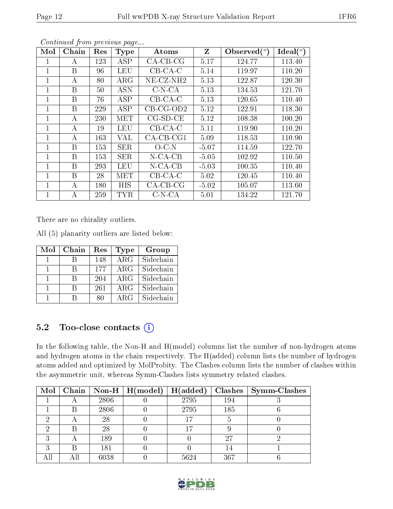| Mol          | Chain        | Res | <b>Type</b> | Atoms        | $Z_{\rm}$ | Observed $(°)$ | Ideal $(°)$ |
|--------------|--------------|-----|-------------|--------------|-----------|----------------|-------------|
|              | A            | 123 | <b>ASP</b>  | $CA-CB-CG$   | 5.17      | 124.77         | 113.40      |
| $\mathbf{1}$ | $\mathbf{B}$ | 96  | <b>LEU</b>  | $CB-CA-C$    | 5.14      | 119.97         | 110.20      |
| 1            | А            | 80  | $\rm{ARG}$  | $NE-CZ-NH2$  | 5.13      | 122.87         | 120.30      |
|              | B            | 50  | <b>ASN</b>  | $C-N-CA$     | 5.13      | 134.53         | 121.70      |
| 1            | B            | 76  | <b>ASP</b>  | $CB-CA-C$    | 5.13      | 120.65         | 110.40      |
| 1            | B            | 229 | ASP         | $CB-CG-OD2$  | 5.12      | 122.91         | 118.30      |
|              | А            | 230 | <b>MET</b>  | $CG-SD-CE$   | 5.12      | 108.38         | 100.20      |
| 1            | A            | 19  | LEU         | $CB-CA-C$    | 5.11      | 119.90         | 110.20      |
| 1            | А            | 163 | VAL         | $CA$ -CB-CG1 | 5.09      | 118.53         | 110.90      |
| 1            | B            | 153 | <b>SER</b>  | $O-C-N$      | $-5.07$   | 114.59         | 122.70      |
| 1            | B            | 153 | <b>SER</b>  | $N$ -CA-CB   | $-5.05$   | 102.92         | 110.50      |
|              | B            | 293 | LEU         | $N$ -CA-CB   | $-5.03$   | 100.35         | 110.40      |
| $\mathbf{1}$ | B            | 28  | <b>MET</b>  | $CB-CA-C$    | 5.02      | 120.45         | 110.40      |
|              | А            | 180 | <b>HIS</b>  | $CA-CB-CG$   | $-5.02$   | 105.07         | 113.60      |
|              | А            | 259 | <b>TYR</b>  | $C-N-CA$     | 5.01      | 134.22         | 121.70      |

There are no chirality outliers.

All (5) planarity outliers are listed below:

| Mol | Chain | $\operatorname{Res}% \left( \mathcal{N}\right) \equiv\operatorname{Res}(\mathcal{N}_{0})\cap\mathcal{N}_{1}$ | <b>Type</b>             | Group     |
|-----|-------|--------------------------------------------------------------------------------------------------------------|-------------------------|-----------|
|     |       | 148                                                                                                          | $\overline{\text{ARG}}$ | Sidechain |
|     | R     | 177                                                                                                          | ARG                     | Sidechain |
|     | R     | 204                                                                                                          | $\rm{ARG}$              | Sidechain |
|     | R     | 261                                                                                                          | $\rm{ARG}$              | Sidechain |
|     |       | 80                                                                                                           | ARG                     | Sidechain |

### 5.2 Too-close contacts  $(i)$

In the following table, the Non-H and H(model) columns list the number of non-hydrogen atoms and hydrogen atoms in the chain respectively. The H(added) column lists the number of hydrogen atoms added and optimized by MolProbity. The Clashes column lists the number of clashes within the asymmetric unit, whereas Symm-Clashes lists symmetry related clashes.

|   |      | Mol   Chain   Non-H   H(model) | H(added) |     | $Clashes$   Symm-Clashes |
|---|------|--------------------------------|----------|-----|--------------------------|
|   | 2806 |                                | 2795     | 194 |                          |
| B | 2806 |                                | 2795     | 185 |                          |
|   | 28   |                                | 17       |     |                          |
| В | 28   |                                | 17       |     |                          |
|   | 189  |                                |          | 27  |                          |
| В | 181  |                                |          | 14  |                          |
|   | 6038 |                                | 5624     | 367 |                          |

![](_page_11_Picture_11.jpeg)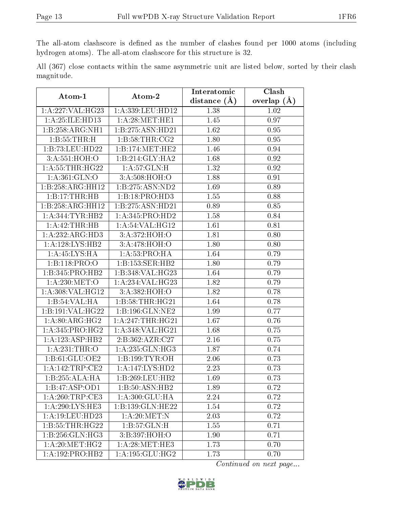The all-atom clashscore is defined as the number of clashes found per 1000 atoms (including hydrogen atoms). The all-atom clashscore for this structure is 32.

|            |  |  | All (367) close contacts within the same asymmetric unit are listed below, sorted by their clash |  |  |  |  |
|------------|--|--|--------------------------------------------------------------------------------------------------|--|--|--|--|
| magnitude. |  |  |                                                                                                  |  |  |  |  |

| Atom-1             | Atom-2             | Interatomic       | Clash         |  |  |
|--------------------|--------------------|-------------------|---------------|--|--|
|                    |                    | distance $(\AA)$  | overlap $(A)$ |  |  |
| 1:A:227:VAL:HG23   | 1:A:339:LEU:HD12   | 1.38              | 1.02          |  |  |
| 1: A:25: ILE: HD13 | 1: A:28: MET:HE1   | 1.45              | 0.97          |  |  |
| 1:B:258:ARG:NH1    | 1:B:275:ASN:HD21   | 1.62              | 0.95          |  |  |
| 1: B: 55: THR:H    | 1: B:58:THR:CG2    | 1.80              | 0.95          |  |  |
| 1:B:73:LEU:HD22    | 1:B:174:MET:HE2    | 1.46              | 0.94          |  |  |
| 3:A:551:HOH:O      | 1:B:214:GLY:HA2    | 1.68              | 0.92          |  |  |
| 1: A:55:THR:HG22   | 1: A:57: GLN:H     | 1.32              | 0.92          |  |  |
| 1: A:361: GLN:O    | 3:A:508:HOH:O      | 1.88              | 0.91          |  |  |
| 1:B:258:ARG:HH12   | 1:B:275:ASN:ND2    | 1.69              | 0.89          |  |  |
| 1:B:17:THR:HB      | 1:B:18:PRO:HD3     | 1.55              | 0.88          |  |  |
| 1:B:258:ARG:HH12   | 1:B:275:ASN:HD21   | 0.89              | 0.85          |  |  |
| 1:A:344:TYR:HB2    | 1:A:345:PRO:HD2    | 1.58              | 0.84          |  |  |
| 1: A:42:THR:HB     | 1:A:54:VAL:HG12    | 1.61              | 0.81          |  |  |
| 1:A:232:ARG:HD3    | 3:A:372:HOH:O      | 1.81              | 0.80          |  |  |
| 1:A:128:LYS:HB2    | 3:A:478:HOH:O      | 1.80              | 0.80          |  |  |
| 1:A:45:LYS:HA      | 1: A:53: PRO:HA    | 1.64              | 0.79          |  |  |
| 1:B:118:PRO:O      | 1:B:153:SER:HB2    | 1.80              | 0.79          |  |  |
| 1:B:345:PRO:HB2    | 1:B:348:VAL:HG23   | 1.64              | 0.79          |  |  |
| 1:A:230:MET:O      | 1:A:234:VAL:HG23   | 1.82              | 0.79          |  |  |
| 1: A:308: VAL:HG12 | 3:A:382:HOH:O      | 1.82              | 0.78          |  |  |
| 1:B:54:VAL:HA      | 1:B:58:THR:HG21    | 1.64              | 0.78          |  |  |
| 1:B:191:VAL:HG22   | 1:B:196:GLN:NE2    | 1.99              | 0.77          |  |  |
| 1: A:80: ARG: HG2  | 1: A:247:THR:HG21  | 1.67              | 0.76          |  |  |
| 1: A:345: PRO:HG2  | 1:A:348:VAL:HG21   | 1.68              | 0.75          |  |  |
| 1:A:123:ASP:HB2    | 2:B:362:AZR:C27    | 2.16              | 0.75          |  |  |
| 1: A:231:THR:O     | 1:A:235:GLN:HG3    | 1.87              | 0.74          |  |  |
| 1:B:61:GLU:OE2     | 1: B: 199: TYR: OH | 2.06              | 0.73          |  |  |
| 1:A:142:TRP:CE2    | 1:A:147:LYS:HD2    | 2.23              | 0.73          |  |  |
| 1:B:255:ALA:HA     | 1:B:269:LEU:HB2    | $\overline{1.69}$ | 0.73          |  |  |
| 1:B:47:ASP:OD1     | 1:B:50:ASN:HB2     | 1.89              | 0.72          |  |  |
| 1: A:260:TRP:CE3   | 1:A:300:GLU:HA     | 2.24              | 0.72          |  |  |
| 1:A:290:LYS:HE3    | 1:B:139:GLN:HE22   | 1.54              | 0.72          |  |  |
| 1: A:19: LEU: HD23 | 1: A:20:MET:N      | 2.03              | 0.72          |  |  |
| 1:B:55:THR:HG22    | 1: B:57: GLN: H    | 1.55              | 0.71          |  |  |
| 1:B:256:GLN:HG3    | 3:B:397:HOH:O      | 1.90              | 0.71          |  |  |
| 1: A:20:MET:HG2    | 1: A:28: MET:HE3   | 1.73              | 0.70          |  |  |
| 1:A:192:PRO:HB2    | 1:A:195:GLU:HG2    | 1.73              | 0.70          |  |  |

![](_page_12_Picture_7.jpeg)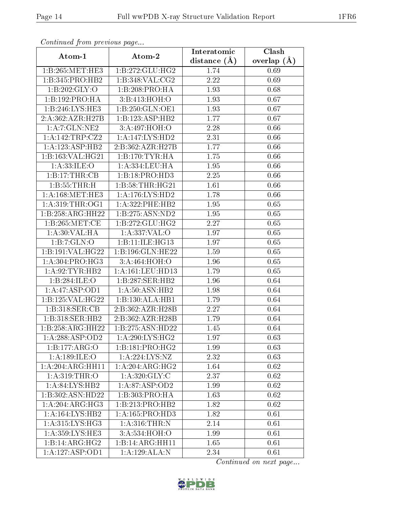| Continued from previous page |                              | Interatomic      | $\overline{\text{Clash}}$ |  |  |
|------------------------------|------------------------------|------------------|---------------------------|--|--|
| Atom-1                       | Atom-2                       | distance $(\AA)$ | overlap $(\AA)$           |  |  |
| 1:B:265:MET:HE3              | 1:B:272:GLU:HG2              | 1.74             | 0.69                      |  |  |
| 1:B:345:PRO:HB2              | 1:B:348:VAL:CG2              | 2.22             | 0.69                      |  |  |
| 1: B:202: GLY:O              | 1:B:208:PRO:HA               | 1.93             | 0.68                      |  |  |
| 1:B:192:PRO:HA               | 3:B:413:HOH:O                | 1.93             | 0.67                      |  |  |
| 1:B:246:LYS:HE3              | 1:B:250:GLN:OE1              | 1.93             | 0.67                      |  |  |
| 2:A:362:AZR:H27B             | 1:B:123:ASP:HB2              | 1.77             | 0.67                      |  |  |
| 1:A:7:GLN:NE2                | 3:A:497:HOH:O                | 2.28             | 0.66                      |  |  |
| 1:A:142:TRP:CZ2              | 1: A: 147: LYS: HD2          | 2.31             | 0.66                      |  |  |
| 1:A:123:ASP:HB2              | 2:B:362:AZR:H27B             | 1.77             | 0.66                      |  |  |
| 1:B:163:VAL:HG21             | 1:B:170:TYR:HA               | 1.75             | 0.66                      |  |  |
| 1: A:33: ILE: O              | 1:A:334:LEU:HA               | 1.95             | 0.66                      |  |  |
| 1:B:17:THR:CB                | 1:B:18:PRO:HD3               | 2.25             | 0.66                      |  |  |
| 1:B:55:THR:H                 | 1:B:58:THR:HG21              | 1.61             | 0.66                      |  |  |
| 1: A:168:MET:HE3             | 1: A:176: LYS: HD2           | 1.78             | 0.66                      |  |  |
| 1: A:319:THR:O <sub>G1</sub> | $1: A:322:$ PHE:HB2          | 1.95             | 0.65                      |  |  |
| 1:B:258:ARG:HH22             | 1:B:275:ASN:ND2              | 1.95             | 0.65                      |  |  |
| 1:B:265:MET:CE               | 1: B: 272: GLU: HG2          | 2.27             | 0.65                      |  |  |
| 1: A:30: VAL: HA             | 1: A: 337: VAL: O            | 1.97             | 0.65                      |  |  |
| 1:B:7:GLN:O                  | 1:B:11:ILE:HG13              | 1.97             | 0.65                      |  |  |
| 1:B:191:VAL:HG22             | 1:B:196:GLN:HE22             | 1.59             | 0.65                      |  |  |
| 1: A:304: PRO:HG3            | 3: A:464:HOH:O               | 1.96             | 0.65                      |  |  |
| 1:A:92:TYR:HB2               | 1:A:161:LEU:HD13             | 1.79             | 0.65                      |  |  |
| 1:B:284:ILE:O                | 1:B:287:SER:HB2              | 1.96             | 0.64                      |  |  |
| 1:A:47:ASP:OD1               | 1:A:50:ASN:HB2               | 1.98             | 0.64                      |  |  |
| 1:B:125:VAL:HG22             | 1:B:130:ALA:HB1              | 1.79             | 0.64                      |  |  |
| 1:B:318:SER:CB               | 2:B:362:AZR:H28B             | 2.27             | 0.64                      |  |  |
| 1:B:318:SER:HB2              | 2:B:362:AZR:H28B             | 1.79             | 0.64                      |  |  |
| 1:B:258:ARG:HH22             | 1:B:275:ASN:HD22             | 1.45             | 0.64                      |  |  |
| 1:A:288:ASP:OD2              | 1: A:290: LYS: HG2           | 1.97             | 0.63                      |  |  |
| 1:B:177:ARG:O                | 1:B:181:PRO:HG2              | 1.99             | 0.63                      |  |  |
| 1: A:189: ILE:O              | 1: A: 224: LYS: NZ           | 2.32             | 0.63                      |  |  |
| 1:A:204:ARG:HH11             | $1:A:204:ARG:\overline{HG2}$ | 1.64             | 0.62                      |  |  |
| 1: A:319:THR:O               | 1: A:320: GLY: C             | 2.37             | 0.62                      |  |  |
| 1:A:84:LYS:HB2               | 1:A:87:ASP:OD2               | 1.99             | 0.62                      |  |  |
| 1:B:302:ASN:HD22             | 1:B:303:PRO:HA               | 1.63             | 0.62                      |  |  |
| 1:A:204:ARG:HG3              | 1:B:213:PRO:HB2              | 1.82             | 0.62                      |  |  |
| 1: A: 164: LYS: HB2          | 1: A: 165: PRO: HD3          | 1.82             | 0.61                      |  |  |
| 1: A:315: LYS: HG3           | 1: A:316:THR:N               | 2.14             | 0.61                      |  |  |
| 1:A:359:LYS:HE3              | 3:A:534:HOH:O                | 1.99             | 0.61                      |  |  |
| 1:B:14:ARG:HG2               | 1:B:14:ARG:HH11              | 1.65             | 0.61                      |  |  |
| 1:A:127:ASP:OD1              | 1:A:129:ALA:N                | 2.34             | 0.61                      |  |  |

![](_page_13_Picture_6.jpeg)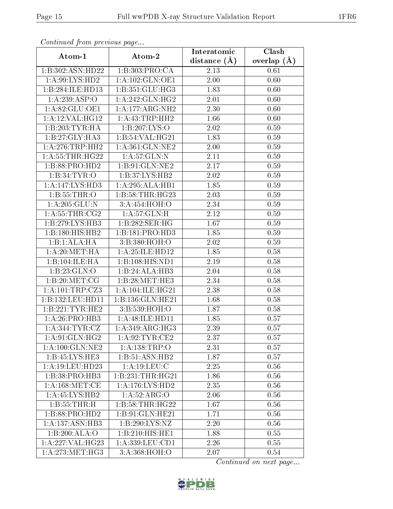| Communica from previous page |                                      | Interatomic    | Clash         |
|------------------------------|--------------------------------------|----------------|---------------|
| Atom-1                       | Atom-2                               | distance $(A)$ | overlap $(A)$ |
| 1:B:302:ASN:HD22             | 1:B:303:PRO:CA                       | 2.13           | 0.61          |
| 1:A:99:LYS:HD2               | 1:A:102:GLN:OE1                      | 2.00           | 0.60          |
| 1:B:284:ILE:HD13             | 1:B:351:GLU:HG3                      | 1.83           | 0.60          |
| 1:A:239:ASP:O                | 1: A:242: GLN: HG2                   | 2.01           | 0.60          |
| 1:A:82:GLU:OE1               | 1:A:177:ARG:NH2                      | 2.30           | 0.60          |
| 1: A:12: VAL:HG12            | 1:A:43:TRP:HH2                       | 1.66           | 0.60          |
| 1:B:203:TYR:HA               | $1:B:207:\overline{LYS:O}$           | 2.02           | 0.59          |
| 1:B:27:GLY:HA3               | 1:B:54:VAL:HG21                      | 1.83           | 0.59          |
| 1: A:276:TRP:HH2             | 1: A:361: GLN: NE2                   | 2.00           | 0.59          |
| 1: A:55:THR:HG22             | 1: A:57: GLN:N                       | 2.11           | 0.59          |
| 1:B:88:PRO:HD2               | 1:B:91:GLN:NE2                       | 2.17           | 0.59          |
| 1:B:34:TYR:O                 | 1:B:37:LYS:HB2                       | 2.02           | 0.59          |
| 1:A:147:LYS:HD3              | 1:A:295:ALA:HB1                      | 1.85           | 0.59          |
| 1:B:55:THR:O                 | 1:B:58:THR:HG23                      | 2.03           | 0.59          |
| 1: A: 205: GLU: N            | 3:A:454:HOH:O                        | 2.34           | 0.59          |
| 1: A:55:THR:CG2              | 1: A:57: GLN:H                       | 2.12           | 0.59          |
| 1:B:279:LYS:HB3              | 1:B:282:SER:HG                       | 1.67           | 0.59          |
| 1:B:180:HIS:HB2              | 1:B:181:PRO:HD3                      | 1.85           | 0.59          |
| 1:B:1:ALA:HA                 | 3:B:380:HOH:O                        | 2.02           | 0.59          |
| 1: A:20: MET:HA              | 1: A:25: ILE: HD12                   | 1.85           | 0.58          |
| 1:B:104:ILE:HA               | 1:B:108:HIS:ND1                      | 2.19           | 0.58          |
| 1:B:23:GLN:O                 | 1:B:24:ALA:HB3                       | 2.04           | 0.58          |
| 1:B:20:MET:CG                | 1:B:28:MET:HE3                       | 2.34           | 0.58          |
| 1:A:101:TRP:CZ3              | 1: A:104: ILE: HG21                  | 2.38           | 0.58          |
| 1:B:132:LEU:HD11             | 1:B:136:GLN:HE21                     | 1.68           | 0.58          |
| 1:B:221:TYR:HE2              | 3:B:539:HOH:O                        | 1.87           | 0.58          |
| 1: A:26: PRO:HB3             | 1: A:48: ILE: HD11                   | 1.85           | 0.57          |
| 1: A:344:TYR:CZ              | 1:A:349:ARG:HG3                      | 2.39           | 0.57          |
| 1: A:91: GLN: HG2            | 1: A:92:TYR:CE2                      | 2.37           | 0.57          |
| 1: A: 100: GLN: NE2          | 1: A: 138: TRP:O                     | 2.31           | 0.57          |
| 1: B: 45: IYS: HE3           | 1:B:51:ASN:HB2                       | 1.87           | 0.57          |
| 1: A:19: LEU: HD23           | $1:$ A:19:LEU: $\overline{\text{C}}$ | 2.25           | 0.56          |
| 1:B:38:PRO:HB3               | 1:B:231:THR:HG21                     | 1.86           | 0.56          |
| 1: A:168: MET:CE             | 1:A:176:LYS:HD2                      | 2.35           | 0.56          |
| 1:A:45:LYS:HB2               | 1:A:52:ARG:O                         | 2.06           | 0.56          |
| 1: B: 55: THR:H              | 1:B:58:THR:HG22                      | 1.67           | 0.56          |
| 1:B:88:PRO:HD2               | 1:B:91:GLN:HE21                      | 1.71           | 0.56          |
| 1: A: 137: ASN: HB3          | 1:B:290:LYS:NZ                       | 2.20           | 0.56          |
| 1:B:200:ALA:O                | 1:B:210:HIS:HE1                      | 1.88           | 0.55          |
| 1:A:227:VAL:HG23             | 1:A:339:LEU:CD1                      | 2.26           | 0.55          |
| 1: A:273:MET:HG3             | $3: A:368:\overline{HOH:O}$          | 2.07           | 0.54          |

![](_page_14_Picture_6.jpeg)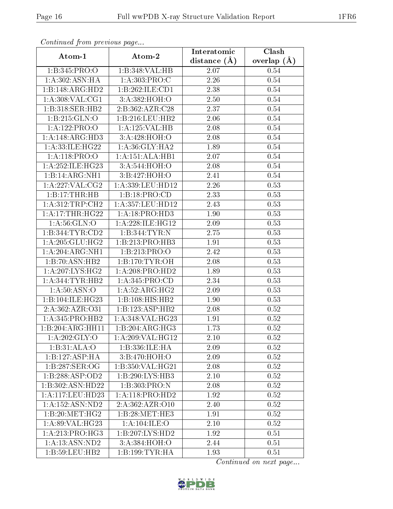| Commaca jibin previous page  |                             | Interatomic    | Clash         |
|------------------------------|-----------------------------|----------------|---------------|
| Atom-1                       | Atom-2                      | distance $(A)$ | overlap $(A)$ |
| 1:B:345:PRO:O                | 1:B:348:VAL:HB              | 2.07           | 0.54          |
| 1:A:302:ASN:HA               | 1:A:303:PRO:C               | 2.26           | 0.54          |
| 1:B:148:ARG:HD2              | 1:B:262:ILE:CD1             | 2.38           | 0.54          |
| 1: A:308: VAL:CG1            | 3:A:382:HOH:O               | 2.50           | 0.54          |
| 1:B:318:SER:HB2              | 2:B:362:AZR:C28             | 2.37           | 0.54          |
| 1:B:215:GLN:O                | 1:B:216:LEU:HB2             | 2.06           | 0.54          |
| 1:A:122:PRO:O                | 1:A:125:VAL:H B             | 2.08           | 0.54          |
| 1:A:148:ARG:HD3              | 3:A:428:HOH:O               | 2.08           | 0.54          |
| 1:A:33:ILE:HG22              | 1: A:36: GLY: HA2           | 1.89           | 0.54          |
| 1:A:118:PRO:O                | 1:A:151:ALA:HB1             | 2.07           | 0.54          |
| 1: A:252: ILE: HG23          | 3:A:544:HOH:O               | 2.08           | 0.54          |
| 1:B:14:ARG:NH1               | 3:B:427:HOH:O               | 2.41           | 0.54          |
| 1:A:227:VAL:CG2              | 1:A:339:LEU:HD12            | 2.26           | 0.53          |
| 1:B:17:THR:HB                | 1:B:18:PRO:CD               | 2.33           | 0.53          |
| 1: A:312:TRP:CH2             | 1:A:357:LEU:HD12            | 2.43           | 0.53          |
| 1: A:17:THR:HG22             | 1: A: 18: PRO: HD3          | 1.90           | 0.53          |
| 1: A:56: GLN:O               | 1: A:228: ILE: HG12         | 2.09           | 0.53          |
| 1:B:344:TYR:CD2              | 1:B:344:TYR:N               | 2.75           | 0.53          |
| 1: A:205: GLU:HG2            | 1:B:213:PRO:HB3             | 1.91           | 0.53          |
| 1:A:204:ARG:NH1              | 1:B:213:PRO:O               | 2.42           | 0.53          |
| 1:B:70:ASN:HB2               | 1:B:170:TYR:OH              | 2.08           | 0.53          |
| 1: A:207: LYS: HG2           | 1: A:208: PRO:HD2           | 1.89           | 0.53          |
| 1:A:344:TYR:HB2              | 1:A:345:PRO:CD              | 2.34           | 0.53          |
| 1: A:50: ASN:O               | $1:A:52:A\overline{RG:HG2}$ | 2.09           | 0.53          |
| 1:B:104:ILE:HG23             | 1:B:108:HIS:HB2             | 1.90           | 0.53          |
| 2:A:362:AZR:O31              | 1:B:123:ASP:HB2             | 2.08           | 0.52          |
| 1: A:345: PRO:HB2            | 1: A:348: VAL:HG23          | 1.91           | 0.52          |
| 1:B:204:ARG:HH11             | 1:B:204:ARG:HG3             | 1.73           | 0.52          |
| 1: A:202: GLY:O              | 1:A:209:VAL:HG12            | 2.10           | 0.52          |
| 1:B:31:ALA:O                 | 1:B:336:ILE:HA              | 2.09           | 0.52          |
| 1:B:127:ASP:HA               | 3:B:470:HOH:O               | 2.09           | 0.52          |
| 1:B:287:SER:OG               | 1:B:350:VAL:HG21            | 2.08           | 0.52          |
| 1:B:288:ASP:OD2              | 1:B:290:LYS:HB3             | 2.10           | 0.52          |
| 1:B:302:ASN:HD22             | 1:B:303:PRO:N               | 2.08           | 0.52          |
| 1:A:117:LEU:HD23             | 1:A:118:PRO:HD2             | 1.92           | 0.52          |
| 1: A: 152: ASN: ND2          | 2:A:362:AZR:O10             | 2.40           | 0.52          |
| 1:B:20:MET:HG2               | 1:B:28:MET:HE3              | 1.91           | 0.52          |
| 1:A:89:VAL:HG23              | 1:A:104:ILE:O               | 2.10           | 0.52          |
| $1:A:213:PRO:H\overline{G3}$ | 1:B:207:LYS:HD2             | 1.92           | 0.51          |
| 1:A:13:ASN:ND2               | 3:A:384:HOH:O               | 2.44           | 0.51          |
| 1:B:59:LEU:HB2               | 1: B: 199: TYR: HA          | 1.93           | 0.51          |

![](_page_15_Picture_6.jpeg)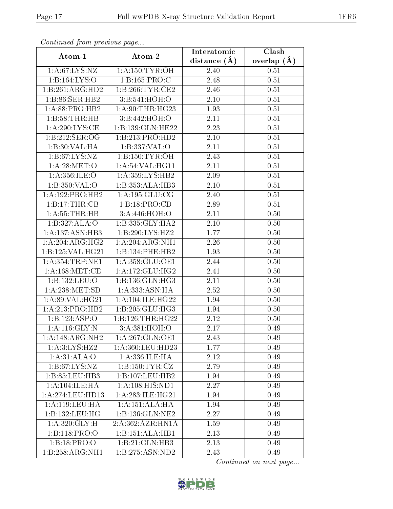| Continued from previous page          |                     | Interatomic       | Clash         |
|---------------------------------------|---------------------|-------------------|---------------|
| Atom-1                                | Atom-2              | distance $(\AA)$  | overlap $(A)$ |
| 1: A:67: LYS: NZ                      | 1: A:150: TYR:OH    | 2.40              | 0.51          |
| 1:B:164:LYS:O                         | 1:B:165:PRO:C       | 2.48              | 0.51          |
| 1:B:261:ARG:HD2                       | 1:B:266:TYR:CE2     | 2.46              | 0.51          |
| 1:B:86:SER:HB2                        | 3:B:541:HOH:O       | 2.10              | 0.51          |
| 1: A:88: PRO:HB2                      | 1: A:90:THR:HG23    | 1.93              | 0.51          |
| 1:B:58:THR:HB                         | 3:B:442:HOH:O       | 2.11              | 0.51          |
| 1: A:290: LYS: CE                     | 1:B:139:GLN:HE22    | $\overline{2}.23$ | 0.51          |
| 1:B:212:SER:OG                        | 1:B:213:PRO:HD2     | 2.10              | 0.51          |
| 1:B:30:VAL:HA                         | 1: B: 337: VAL: O   | 2.11              | 0.51          |
| 1: B:67: LYS: NZ                      | 1: B: 150: TYR: OH  | 2.43              | 0.51          |
| 1: A:28: MET:O                        | 1: A:54:VAL:HG11    | 2.11              | 0.51          |
| 1: A:356: ILE:O                       | 1: A:359: LYS: HB2  | 2.09              | 0.51          |
| 1: B: 350: VAL:O                      | 1:B:353:ALA:HB3     | 2.10              | 0.51          |
| 1:A:192:PRO:HB2                       | 1: A: 195: GLU: CG  | 2.40              | 0.51          |
| 1:B:17:THR:CB                         | 1:B:18:PRO:CD       | 2.89              | 0.51          |
| 1: A: 55: THR: HB                     | 3:A:446:HOH:O       | 2.11              | 0.50          |
| 1:B:327:ALA:O                         | 1:B:335:GLY:HA2     | 2.10              | 0.50          |
| 1: A: 137: ASN: HB3                   | 1:B:290:LYS:HZ2     | 1.77              | 0.50          |
| 1:A:204:ARG:HG2                       | 1:A:204:ARG:NH1     | 2.26              | 0.50          |
| 1:B:125:VAL:HG21                      | 1:B:134:PHE:HB2     | 1.93              | 0.50          |
| 1: A: 354: TRP: NE1                   | 1:A:358:GLU:OE1     | 2.44              | 0.50          |
| 1: A:168: MET:CE                      | 1: A:172: GLU: HG2  | 2.41              | 0.50          |
| 1:B:132:LEU:O                         | 1:B:136:GLN:HG3     | 2.11              | 0.50          |
| 1: A:238: MET:SD                      | 1:A:333:ASN:HA      | $\overline{2.52}$ | 0.50          |
| 1: A:89: VAL:HG21                     | 1: A:104: ILE: HG22 | 1.94              | 0.50          |
| 1:A:213:PRO:HB2                       | 1:B:205:GLU:HG3     | 1.94              | 0.50          |
| 1:B:123:ASP:O                         | 1:B:126:THR:HG22    | 2.12              | 0.50          |
| 1: A:116: GLY:N                       | 3:A:381:HOH:O       | 2.17              | 0.49          |
| 1:A:148:ARG:NH2                       | 1:A:267:GLN:OE1     | 2.43              | 0.49          |
| 1: A:3: LYS: HZ2                      | 1:A:360:LEU:HD23    | 1.77              | 0.49          |
| 1: A:31: ALA:O                        | 1:A:336:ILE:HA      | 2.12              | 0.49          |
| 1: B:67: LYS: NZ                      | 1:B:150:TYR:CZ      | 2.79              | 0.49          |
| 1:B:85:LEU:HB3                        | 1:B:107:LEU:HB2     | 1.94              | 0.49          |
| 1: A: 104: ILE: HA                    | 1: A:108: HIS: ND1  | 2.27              | 0.49          |
| 1: A:274:LEU:HD13                     | 1: A:283: ILE: HG21 | 1.94              | 0.49          |
| 1: A:119:LEU:HA                       | 1:A:151:ALA:H       | 1.94              | 0.49          |
| 1:B:132:LEU:HG                        | 1:B:136:GLN:NE2     | 2.27              | 0.49          |
| 1: A:320: GLY: H                      | 2:A:362:AZR:HN1A    | 1.59              | 0.49          |
| 1:B:118:PRO:O                         | 1:B:151:ALA:HB1     | 2.13              | 0.49          |
| 1:B:18:PRO:O                          | 1:B:21:GLN:HB3      | 2.13              | 0.49          |
| $1:B:258:A\overline{\mathrm{RG:NH1}}$ | 1:B:275:ASN:ND2     | 2.43              | 0.49          |

![](_page_16_Picture_6.jpeg)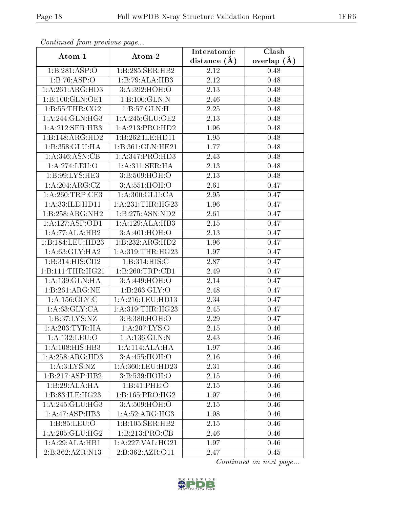| Continued from previous page |                               | Interatomic       | Clash           |  |
|------------------------------|-------------------------------|-------------------|-----------------|--|
| Atom-1                       | Atom-2                        | distance $(A)$    | overlap $(\AA)$ |  |
| 1:B:281:ASP:O                | 1:B:285:SER:HB2               | 2.12              | 0.48            |  |
| 1:B:76:ASP:O                 | 1:B:79:ALA:HB3                | 2.12              | 0.48            |  |
| 1:A:261:ARG:HD3              | 3:A:392:HOH:O                 | 2.13              | 0.48            |  |
| 1:B:100:GLN:OE1              | 1:B:100:GLN:N                 | 2.46              | 0.48            |  |
| 1: B: 55: THR: CG2           | 1:B:57:GLN:H                  | 2.25              | 0.48            |  |
| 1: A:244: GLN: HG3           | 1:A:245:GLU:OE2               | 2.13              | 0.48            |  |
| 1: A:212: SER:HB3            | 1:A:213:PRO:HD2               | 1.96              | 0.48            |  |
| 1:B:148:ARG:HD2              | 1:B:262:ILE:HD11              | 1.95              | 0.48            |  |
| 1:B:358:GLU:HA               | 1:B:361:GLN:HE21              | 1.77              | 0.48            |  |
| 1: A:346: ASN:CB             | 1:A:347:PRO:HD3               | 2.43              | 0.48            |  |
| 1:A:274:LEU:O                | 1:A:311:SER:HA                | 2.13              | 0.48            |  |
| 1: B:99: LYS: HE3            | 3: B:509:HOH:O                | 2.13              | 0.48            |  |
| 1:A:204:ARG:CZ               | 3:A:551:HOH:O                 | 2.61              | 0.47            |  |
| 1: A:260:TRP:CE3             | $1: A:300: \overline{GLU:CA}$ | 2.95              | 0.47            |  |
| 1:A:33:ILE:HD11              | 1:A:231:THR:HG23              | 1.96              | 0.47            |  |
| 1:B:258:ARG:NH2              | 1:B:275:ASN:ND2               | 2.61              | 0.47            |  |
| 1:A:127:ASP:OD1              | 1:A:129:ALA:HB3               | 2.15              | 0.47            |  |
| 1:A:77:ALA:HB2               | 3:A:401:HOH:O                 | 2.13              | 0.47            |  |
| 1:B:184:LEU:HD23             | 1:B:232:ARG:HD2               | 1.96              | 0.47            |  |
| 1: A:63: GLY:HA2             | 1:A:319:THR:HG23              | 1.97              | 0.47            |  |
| 1:B:314:HIS:CD2              | 1:B:314:HIS:C                 | 2.87              | 0.47            |  |
| 1:B:111:THR:HG21             | 1:B:260:TRP:CD1               | 2.49              | 0.47            |  |
| 1:A:139:GLN:HA               | 3:A:449:HOH:O                 | 2.14              | 0.47            |  |
| 1:B:261:ARG:NE               | 1: B:263: GLY:O               | 2.48              | 0.47            |  |
| 1:A:156:GLY:C                | 1:A:216:LEU:HD13              | 2.34              | 0.47            |  |
| 1: A:63: GLY:CA              | 1:A:319:THR:HG23              | $\overline{2}.45$ | 0.47            |  |
| 1: B:37: LYS: NZ             | 3:B:380:HOH:O                 | 2.29              | 0.47            |  |
| 1: A:203:TYR:HA              | 1:A:207:LYS:O                 | 2.15              | 0.46            |  |
| 1:A:132:LEU:O                | 1:A:136:GLN:N                 | 2.43              | 0.46            |  |
| 1: A:108: HIS: HB3           | 1:A:114:ALA:HA                | 1.97              | 0.46            |  |
| 1:A:258:ARG:HD3              | 3:A:455:HOH:O                 | 2.16              | 0.46            |  |
| 1: A:3: LYS: NZ              | 1:A:360:LEU:HD23              | 2.31              | 0.46            |  |
| 1:B:217:ASP:HB2              | 3:B:539:HOH:O                 | 2.15              | 0.46            |  |
| 1:B:29:ALA:HA                | 1:B:41:PHE:O                  | 2.15              | 0.46            |  |
| 1:B:83:ILE:HG23              | 1:B:165:PRO:HG2               | 1.97              | 0.46            |  |
| 1: A:245: GLU:HG3            | 3: A:509:HOH:O                | 2.15              | 0.46            |  |
| 1:A:47:ASP:HB3               | 1:A:52:ARG:HG3                | 1.98              | 0.46            |  |
| 1:B:85:LEU:O                 | 1:B:105:SER:HB2               | 2.15              | 0.46            |  |
| 1: A:205: GLU:HG2            | 1:B:213:PRO:CB                | 2.46              | 0.46            |  |
| 1:A:29:ALA:HB1               | 1:A:227:VAL:HG21              | 1.97              | 0.46            |  |
| 2:B:362:AZR:N13              | 2:B:362:AZR:O11               | 2.47              | 0.45            |  |

![](_page_17_Picture_6.jpeg)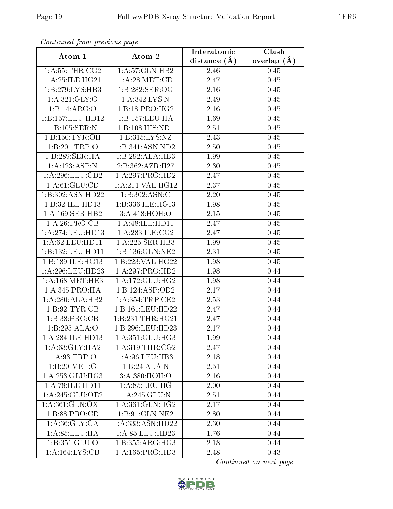| Commaca jibin previous page |                                 | Interatomic    | Clash         |  |
|-----------------------------|---------------------------------|----------------|---------------|--|
| Atom-1                      | Atom-2                          | distance $(A)$ | overlap $(A)$ |  |
| 1: A: 55: THR: CG2          | 1:A:57:GLN:HB2                  | 2.46           | 0.45          |  |
| 1:A:25:ILE:HG21             | 1: A:28: MET:CE                 | 2.47           | 0.45          |  |
| 1:B:279:LYS:HB3             | 1:B:282:SER:OG                  | 2.16           | 0.45          |  |
| 1: A:321: GLY:O             | 1:A:342:LYS:N                   | 2.49           | 0.45          |  |
| 1:B:14:ARG:O                | 1:B:18:PRO:HG2                  | 2.16           | 0.45          |  |
| 1:B:157:LEU:HD12            | 1:B:157:LEU:HA                  | 1.69           | 0.45          |  |
| 1:B:105:SER:N               | 1:B:108:HIS:ND1                 | 2.51           | $0.45\,$      |  |
| 1:B:150:TYR:OH              | $1: B: 315: LYS: \overline{NZ}$ | 2.43           | 0.45          |  |
| 1:B:201:TRP:O               | 1:B:341:ASN:ND2                 | 2.50           | 0.45          |  |
| 1:B:289:SER:HA              | 1:B:292:ALA:HB3                 | 1.99           | 0.45          |  |
| 1:A:123:ASP:N               | 2:B:362:AZR:H27                 | 2.30           | 0.45          |  |
| 1:A:296:LEU:CD2             | 1:A:297:PRO:HD2                 | 2.47           | 0.45          |  |
| 1: A:61: GLU:CD             | 1:A:211:VAL:HG12                | 2.37           | 0.45          |  |
| 1:B:302:ASN:HD22            | 1:B:302:ASN:C                   | 2.20           | 0.45          |  |
| 1:B:32:ILE:HD13             | 1:B:336:ILE:HG13                | 1.98           | 0.45          |  |
| 1: A:169: SER: HB2          | 3:A:418:HOH:O                   | 2.15           | 0.45          |  |
| 1:A:26:PRO:CB               | 1:A:48:ILE:HD11                 | 2.47           | 0.45          |  |
| 1: A:274:LEU:HD13           | 1: A:283: ILE: CG2              | 2.47           | $0.45\,$      |  |
| 1: A:62:LEU:HD11            | 1:A:225:SER:HB3                 | 1.99           | 0.45          |  |
| 1:B:132:LEU:HD11            | 1:B:136:GLN:NE2                 | 2.31           | 0.45          |  |
| 1:B:189:ILE:HG13            | 1:B:223:VAL:HG22                | 1.98           | 0.45          |  |
| 1:A:296:LEU:HD23            | 1:A:297:PRO:HD2                 | 1.98           | 0.44          |  |
| 1: A:168:MET:HE3            | 1:A:172:GLU:HG2                 | 1.98           | 0.44          |  |
| 1: A:345: PRO:HA            | 1:B:124:ASP:OD2                 | 2.17           | 0.44          |  |
| 1:A:280:ALA:HB2             | 1: A:354:TRP:CE2                | 2.53           | 0.44          |  |
| 1: B:92: TYR: CB            | 1:B:161:LEU:HD22                | 2.47           | 0.44          |  |
| 1:B:38:PRO:CB               | 1:B:231:THR:HG21                | 2.47           | 0.44          |  |
| 1:B:295:ALA:O               | 1:B:296:LEU:HD23                | 2.17           | 0.44          |  |
| 1:A:284:ILE:HD13            | 1: A:351: GLU:HG3               | 1.99           | 0.44          |  |
| 1: A:63: GLY: HA2           | 1: A:319:THR:CG2                | 2.47           | 0.44          |  |
| 1:A:93:TRP:O                | 1: A:96: LEU:HB3                | 2.18           | 0.44          |  |
| 1:B:20:MET:O                | 1:B:24:ALA:N                    | 2.51           | 0.44          |  |
| 1: A: 253: GLU: HG3         | 3:A:380:HOH:O                   | 2.16           | 0.44          |  |
| 1: A:78: ILE: HD11          | 1: A:85:LEU:HG                  | 2.00           | 0.44          |  |
| 1:A:245:GLU:OE2             | 1: A:245: GLU:N                 | 2.51           | 0.44          |  |
| 1: A: 361: GLN: OXT         | 1: A:361: GLN: HG2              | 2.17           | 0.44          |  |
| 1:B:88:PRO:CD               | 1:B:91:GLN:NE2                  | 2.80           | 0.44          |  |
| 1: A:36: GLY:CA             | 1:A:333:ASN:HD22                | 2.30           | 0.44          |  |
| 1: A:85:LEU:HA              | 1: A:85:LEU:HD23                | 1.76           | 0.44          |  |
| 1:B:351:GLU:O               | 1:B:355:ARG:HG3                 | 2.18           | 0.44          |  |
| 1: A: 164: LYS: CB          | 1:A:165:PRO:HD3                 | 2.48           | 0.43          |  |

![](_page_18_Picture_6.jpeg)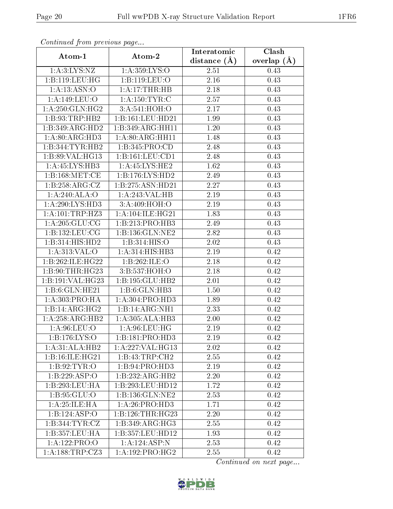| contentava promo provisão pago |                            | Interatomic       | Clash           |
|--------------------------------|----------------------------|-------------------|-----------------|
| Atom-1                         | Atom-2                     | distance $(\AA)$  | overlap $(\AA)$ |
| 1: A:3: LYS: NZ                | 1:A:359:LYS:O              | 2.51              | 0.43            |
| 1:B:119:LEU:HG                 | 1:B:119:LEU:O              | 2.16              | 0.43            |
| 1: A: 13: ASN: O               | 1: A:17:THR:HB             | 2.18              | 0.43            |
| 1: A:149: LEU:O                | 1: A: 150: TYR: C          | 2.57              | 0.43            |
| 1: A:250: GLN: HG2             | 3:A:541:HOH:O              | 2.17              | 0.43            |
| 1:B:93:TRP:HB2                 | 1:B:161:LEU:HD21           | 1.99              | 0.43            |
| 1:B:349:ARG:HD2                | 1:B:349:ARG:HH11           | 1.20              | 0.43            |
| 1: A:80: ARG:HD3               | 1: A:80: ARG: HH11         | 1.48              | 0.43            |
| 1:B:344:TYR:HB2                | 1:B:345:PRO:CD             | $\overline{2}.48$ | 0.43            |
| 1:B:89:VAL:HG13                | 1:B:161:LEU:CD1            | 2.48              | 0.43            |
| 1:A:45:LYS:HB3                 | 1:A:45:LYS:HE2             | 1.62              | 0.43            |
| 1: B: 168: MET:CE              | 1:B:176:LYS:HD2            | 2.49              | 0.43            |
| 1:B:258:ARG:CZ                 | 1:B:275:ASN:HD21           | 2.27              | 0.43            |
| 1:A:240:ALA:O                  | 1:A:243:VAL:HB             | $\overline{2}.19$ | 0.43            |
| 1:A:290:LYS:HD3                | 3:A:409:HOH:O              | 2.19              | 0.43            |
| $1: A: 101: \text{TRP}: HZ3$   | 1: A:104: ILE: HG21        | 1.83              | 0.43            |
| 1: A:205: GLU:CG               | 1:B:213:PRO:HB3            | 2.49              | 0.43            |
| 1:B:132:LEU:CG                 | 1:B:136:GLN:NE2            | 2.82              | 0.43            |
| 1:B:314:HIS:HD2                | 1:B:314:HIS:O              | 2.02              | 0.43            |
| 1: A:313: VAL:O                | 1:A:314:HIS:HB3            | 2.19              | 0.42            |
| 1:B:262:ILE:HG22               | 1:B:262:ILE:O              | 2.18              | 0.42            |
| 1:B:90:THR:HG23                | 3:B:537:HOH:O              | 2.18              | 0.42            |
| 1:B:191:VAL:HG23               | 1:B:195:GLU:HB2            | 2.01              | 0.42            |
| 1:B:6:GLN:HE21                 | 1:B:6:GLN:HB3              | 1.50              | 0.42            |
| 1:A:303:PRO:HA                 | 1:A:304:PRO:HD3            | 1.89              | 0.42            |
| 1:B:14:ARG:HG2                 | 1:B:14:ARG:NH1             | 2.33              | 0.42            |
| 1:A:258:ARG:HB2                | 1:A:305:ALA:HB3            | 2.00              | 0.42            |
| 1: A:96: LEU:O                 | 1: A:96: LEU: HG           | 2.19              | 0.42            |
| 1: B: 176: LYS: O              | 1:B:181:PRO:HD3            | 2.19              | 0.42            |
| $1:A:31:ALA:H\overline{B2}$    | 1:A:227:VAL:HG13           | 2.02              | 0.42            |
| 1:B:16:ILE:HG21                | 1:B:43:TRP:CH2             | 2.55              | 0.42            |
| 1: B: 92: TYR: O               | 1:B:94:PRO:HD3             | 2.19              | 0.42            |
| 1: B: 229: ASP:O               | 1:B:232:ARG:HB2            | 2.20              | 0.42            |
| 1:B:293:LEU:HA                 | 1:B:293:LEU:HD12           | 1.72              | 0.42            |
| 1: B: 95: GLU:O                | 1:B:136:GLN:NE2            | 2.53              | 0.42            |
| 1: A:25: ILE: HA               | 1: A:26: PRO:HD3           | 1.71              | 0.42            |
| 1:B:124:ASP:O                  | 1:B:126:THR:HG23           | 2.20              | 0.42            |
| 1:B:344:TYR:CZ                 | 1:B:349:ARG:HG3            | 2.55              | 0.42            |
| 1:B:357:LEU:HA                 | 1:B:357:LEU:HD12           | 1.93              | 0.42            |
| 1:A:122:PRO:O                  | $1:A:124:ASP:\overline{N}$ | 2.53              | 0.42            |
| 1:A:188:TRP:CZ3                | 1: A: 192: PRO:HG2         | 2.55              | 0.42            |

![](_page_19_Picture_6.jpeg)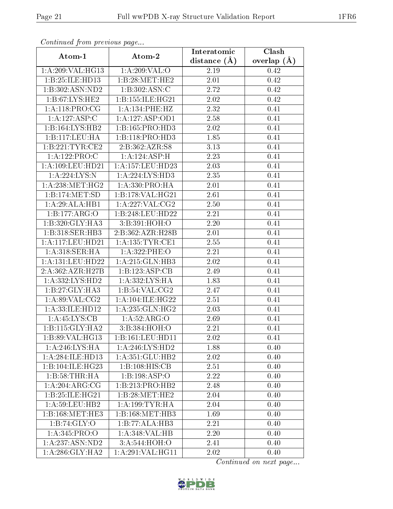| Continuea from previous page |                     | Interatomic       | Clash         |  |
|------------------------------|---------------------|-------------------|---------------|--|
| Atom-1                       | Atom-2              | distance $(A)$    | overlap $(A)$ |  |
| 1:A:209:VAL:HG13             | 1:A:209:VAL:O       | 2.19              | 0.42          |  |
| 1:B:25:ILE:HD13              | 1:B:28:MET:HE2      | 2.01              | 0.42          |  |
| 1:B:302:ASN:ND2              | 1: B: 302: ASN: C   | 2.72              | 0.42          |  |
| 1:B:67:LYS:HE2               | 1:B:155:ILE:HG21    | 2.02              | 0.42          |  |
| 1:A:118:PRO:CG               | 1: A:134:PHE:HZ     | 2.32              | 0.41          |  |
| 1:A:127:ASP:C                | 1:A:127:ASP:OD1     | 2.58              | 0.41          |  |
| 1:B:164:LYS:HB2              | 1:B:165:PRO:HD3     | 2.02              | 0.41          |  |
| 1:B:117:LEU:HA               | 1:B:118:PRO:HD3     | 1.85              | 0.41          |  |
| 1:B:221:TYR:CE2              | 2:B:362:AZR:SS      | 3.13              | 0.41          |  |
| 1:A:122:PRO:C                | 1:A:124:ABP:H       | 2.23              | 0.41          |  |
| 1: A: 109: LEU: HD21         | 1:A:157:LEU:HD23    | 2.03              | 0.41          |  |
| 1:A:224:LYS:N                | 1:A:224:LYS:HD3     | 2.35              | 0.41          |  |
| 1: A:238:MET:HG2             | 1:A:330:PRO:HA      | 2.01              | 0.41          |  |
| 1:B:174:MET:SD               | 1:B:178:VAL:HG21    | 2.61              | 0.41          |  |
| 1:A:29:ALA:HB1               | 1: A:227: VAL:CG2   | 2.50              | 0.41          |  |
| 1:B:177:ARG:O                | 1:B:248:LEU:HD22    | 2.21              | 0.41          |  |
| 1:B:320:GLY:HA3              | 3:B:391:HOH:O       | 2.20              | 0.41          |  |
| 1:B:318:SER:HB3              | 2:B:362:AZR:H28B    | 2.01              | 0.41          |  |
| 1: A: 117: LEU: HD21         | 1: A: 135: TYR: CE1 | 2.55              | 0.41          |  |
| 1:A:318:SER:HA               | 1:A:322:PHE:O       | 2.21              | 0.41          |  |
| 1:A:131:LEU:HD22             | 1:A:215:GLN:HB3     | $\overline{2}.02$ | 0.41          |  |
| 2:A:362:AZR:H27B             | 1:B:123:ASP:CB      | 2.49              | 0.41          |  |
| 1:A:332:LYS:HD2              | 1:A:332:LYS:HA      | 1.83              | 0.41          |  |
| 1:B:27:GLY:HA3               | 1: B:54:VAL: CG2    | 2.47              | 0.41          |  |
| 1: A:89: VAL: CG2            | 1: A:104: ILE: HG22 | 2.51              | 0.41          |  |
| 1:A:33:ILE:HD12              | 1: A: 235: GLN: HG2 | $\overline{2}.03$ | 0.41          |  |
| 1: A:45:LYS:CB               | 1: A:52: ARG:O      | 2.69              | 0.41          |  |
| 1:B:115:GLY:HA2              | 3:B:384:HOH:O       | 2.21              | 0.41          |  |
| 1:B:89:VAL:HG13              | 1:B:161:LEU:HD11    | 2.02              | 0.41          |  |
| 1:A:246:LYS:HA               | 1:A:246:LYS:HD2     | 1.88              | 0.40          |  |
| 1:A:284:ILE:HD13             | 1:A:351:GLU:HB2     | 2.02              | 0.40          |  |
| 1:B:104:ILE:HG23             | 1:B:108:HIS:CB      | 2.51              | 0.40          |  |
| 1:B:58:THR:HA                | 1:B:198:ASP:O       | 2.22              | 0.40          |  |
| 1: A:204: ARG: CG            | 1:B:213:PRO:HB2     | 2.48              | 0.40          |  |
| 1:B:25:ILE:HG21              | 1:B:28:MET:HE2      | 2.04              | 0.40          |  |
| 1: A:59: LEU:HB2             | 1: A: 199: TYR: HA  | 2.04              | 0.40          |  |
| 1:B:168:MET:HE3              | 1:B:168:MET:HB3     | 1.69              | 0.40          |  |
| 1:B:74:GLY:O                 | 1:B:77:ALA:HB3      | 2.21              | 0.40          |  |
| 1:A:345:PRO:O                | 1: A:348: VAL:HB    | 2.20              | 0.40          |  |
| 1:A:237:ASN:ND2              | 3:A:544:HOH:O       | 2.41              | 0.40          |  |
| 1: A:286: GLY:HA2            | 1: A:291: VAL:HGI1  | 2.02              | 0.40          |  |

![](_page_20_Picture_6.jpeg)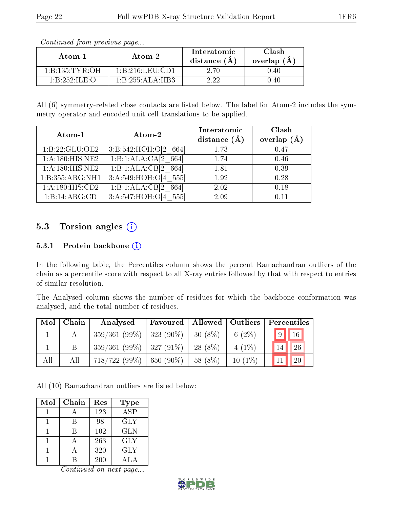| Atom-1                                        | Atom-2                                                  | Interatomic<br>distance $(A)$ | Clash<br>overlap $(A)$ |
|-----------------------------------------------|---------------------------------------------------------|-------------------------------|------------------------|
| 1 B 135 TYR OH                                | $1 \cdot B \cdot 216 \cdot I \cdot E \cdot U \cdot CD1$ | 2.70                          | 0.40                   |
| $1 \cdot R \cdot 252 \cdot H \cdot F \cdot O$ | 1:B:255:ALA:HB3                                         |                               | 0.40                   |

All (6) symmetry-related close contacts are listed below. The label for Atom-2 includes the symmetry operator and encoded unit-cell translations to be applied.

| Atom-1              | Atom-2                 | Interatomic<br>distance $(\AA)$ | Clash<br>overlap $(\AA)$ |
|---------------------|------------------------|---------------------------------|--------------------------|
| 1: B: 22: GLU: OE2  | 3:B:542:HOH:O[2 664]   | 1.73                            | 0.47                     |
| 1: A:180:HIS:NE2    | 1:B:1:ALA:CA[2]<br>664 | 1.74                            | 0.46                     |
| 1: A: 180: HIS: NE2 | 1:B:1:ALA:CB[2]<br>664 | 1.81                            | 0.39                     |
| 1:B:355:ARG:NH1     | 3:A:549:HOH:O[4 555]   | 1.92                            | 0.28                     |
| 1:A:180:HIS:CD2     | 1:B:1:ALA:CB[2]<br>664 | 2.02                            | 0.18                     |
| 1:B:14:ARG:CD       | 3:A:547:HOH:O[4<br>555 | 2.09                            | 0.11                     |

### 5.3 Torsion angles  $(i)$

#### 5.3.1 Protein backbone  $(i)$

In the following table, the Percentiles column shows the percent Ramachandran outliers of the chain as a percentile score with respect to all X-ray entries followed by that with respect to entries of similar resolution.

The Analysed column shows the number of residues for which the backbone conformation was analysed, and the total number of residues.

| Mol | Chain | Analysed                     | Favoured       | Allowed   Outliers |           | Percentiles           |
|-----|-------|------------------------------|----------------|--------------------|-----------|-----------------------|
|     |       | $359/361(99\%)$   323 (90\%) |                | $30(8\%)$          | 6 $(2\%)$ | $9$   $16$            |
|     |       | $359/361(99\%)$   327 (91\%) |                | 28 (8%)            | $4(1\%)$  | 26<br>14 <sup>1</sup> |
| All | All   | 718/722(99%)                 | $  650 (90\%)$ | 58 (8%)            | $10(1\%)$ | 20                    |

All (10) Ramachandran outliers are listed below:

| Mol | Chain | Res | <b>Type</b>          |
|-----|-------|-----|----------------------|
|     |       | 123 | $\overline{\rm ASP}$ |
|     |       | 98  | <b>GLY</b>           |
|     |       | 102 | <b>GLN</b>           |
|     |       | 263 | <b>GLY</b>           |
|     |       | 320 | <b>GLY</b>           |
|     |       | 200 | ΔΙΔ                  |

![](_page_21_Picture_15.jpeg)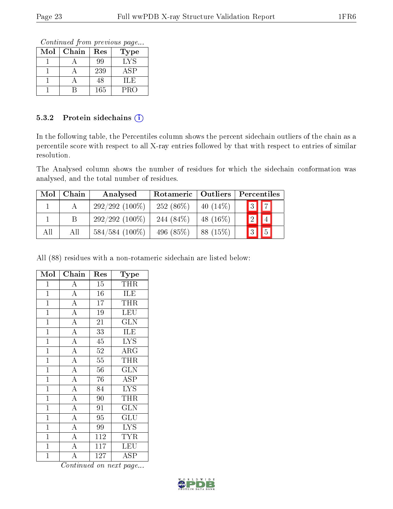Continued from previous page...

| Mol | Chain | Res | <b>Type</b> |
|-----|-------|-----|-------------|
|     |       | 99  | <b>LYS</b>  |
|     |       | 239 | ASP         |
|     |       | 48  | ILE         |
|     |       | 165 | <b>PRO</b>  |

#### 5.3.2 Protein sidechains (i)

In the following table, the Percentiles column shows the percent sidechain outliers of the chain as a percentile score with respect to all X-ray entries followed by that with respect to entries of similar resolution.

The Analysed column shows the number of residues for which the sidechain conformation was analysed, and the total number of residues.

| Mol | Chain | Analysed         | Rotameric   Outliers |             | Percentiles |  |  |
|-----|-------|------------------|----------------------|-------------|-------------|--|--|
|     |       | $292/292(100\%)$ | $252(86\%)$          | 40 $(14\%)$ | $3$ $7$     |  |  |
|     |       | $292/292(100\%)$ | 244 $(84\%)$         | 48 $(16\%)$ |             |  |  |
| All | All   | $584/584$ (100%) | 496 (85%)            | 88 (15%)    |             |  |  |

All (88) residues with a non-rotameric sidechain are listed below:

| Mol            | $Chai\overline{n}$ | Res             | <b>Type</b>               |
|----------------|--------------------|-----------------|---------------------------|
| $\mathbf{1}$   | A                  | 15              | <b>THR</b>                |
| $\mathbf{1}$   | $\overline{A}$     | 16              | <b>ILE</b>                |
| $\mathbf{1}$   | $\overline{A}$     | 17              | THR                       |
| $\mathbf{1}$   | $\overline{A}$     | 19              | LEU                       |
| $\mathbf{1}$   | $\overline{\rm A}$ | 21              | GLN                       |
| $\mathbf{1}$   | $\overline{A}$     | 33              | ILE                       |
| $\overline{1}$ | $\overline{A}$     | $\overline{45}$ | $\overline{\mathrm{LYS}}$ |
| $\overline{1}$ | $\overline{\rm A}$ | 52              | $\overline{\rm{ARG}}$     |
| $\mathbf{1}$   | $\overline{A}$     | 55              | <b>THR</b>                |
| $\mathbf{1}$   | $\overline{A}$     | 56              | $\widetilde{{\rm GLN}}$   |
| $\mathbf{1}$   | $\overline{\rm A}$ | 76              | <b>ASP</b>                |
| $\mathbf{1}$   | $\overline{A}$     | 84              | $\overline{\text{LYS}}$   |
| $\overline{1}$ | $\overline{A}$     | 90              | THR                       |
| $\mathbf{1}$   | $\overline{A}$     | $\overline{91}$ | <b>GLN</b>                |
| $\mathbf{1}$   | $\overline{A}$     | $\overline{95}$ | $\overline{\mathrm{GLU}}$ |
| $\mathbf{1}$   | $\overline{A}$     | 99              | <b>LYS</b>                |
| $\mathbf{1}$   | $\overline{\rm A}$ | 112             | <b>TYR</b>                |
| $\mathbf{1}$   | $\overline{\rm A}$ | 117             | LEU                       |
| $\overline{1}$ | $\overline{\rm A}$ | 127             | ĀSP                       |

![](_page_22_Picture_12.jpeg)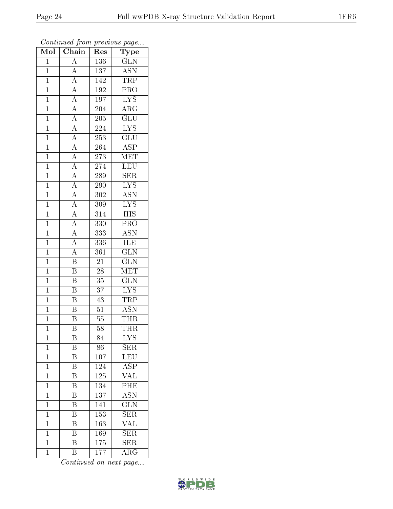| $\overline{\text{Mol}}$ | $\boldsymbol{\omega}$<br>Chain                                                                                                                                                                                                                                                                  | Res                         | $\mathbf{r}$<br>$\overline{\phantom{a}}$<br>Type |
|-------------------------|-------------------------------------------------------------------------------------------------------------------------------------------------------------------------------------------------------------------------------------------------------------------------------------------------|-----------------------------|--------------------------------------------------|
| $\overline{1}$          | $\overline{A}$                                                                                                                                                                                                                                                                                  | 136                         | <b>GLN</b>                                       |
| $\overline{1}$          | $\overline{A}$                                                                                                                                                                                                                                                                                  | 137                         | <b>ASN</b>                                       |
| $\overline{1}$          | $\overline{A}$                                                                                                                                                                                                                                                                                  | 142                         | TRP                                              |
| $\mathbf{1}$            | $\overline{A}$                                                                                                                                                                                                                                                                                  | 192                         | $\overline{\text{PRO}}$                          |
| $\overline{1}$          | $\frac{\overline{A}}{\overline{A}}$                                                                                                                                                                                                                                                             | 197                         | $\overline{\text{LYS}}$                          |
| $\overline{1}$          |                                                                                                                                                                                                                                                                                                 | 204                         | $\rm{ARG}$                                       |
| $\overline{1}$          |                                                                                                                                                                                                                                                                                                 | 205                         | $\overline{\text{GLU}}$                          |
| $\mathbf{1}$            |                                                                                                                                                                                                                                                                                                 | $\overline{2}24$            | $\overline{\text{LYS}}$                          |
| $\mathbf{1}$            |                                                                                                                                                                                                                                                                                                 | 253                         | $\overline{\text{GLU}}$                          |
| $\overline{1}$          |                                                                                                                                                                                                                                                                                                 | 264                         | $\overline{\text{ASP}}$                          |
| $\mathbf{1}$            |                                                                                                                                                                                                                                                                                                 | 273                         | $\rm \overline{MET}$                             |
| $\overline{1}$          |                                                                                                                                                                                                                                                                                                 | $\overline{274}$            | LEU                                              |
| $\overline{1}$          |                                                                                                                                                                                                                                                                                                 | 289                         | <b>SER</b>                                       |
| $\mathbf{1}$            | $\frac{\overline{A}}{\overline{A}}$ $\frac{\overline{A}}{\overline{A}}$ $\frac{\overline{A}}{\overline{A}}$ $\frac{\overline{A}}{\overline{A}}$ $\frac{\overline{A}}{\overline{A}}$ $\frac{\overline{A}}{\overline{A}}$ $\frac{\overline{A}}{\overline{A}}$ $\frac{\overline{A}}{\overline{A}}$ | 290                         | $LYS$                                            |
| $\overline{1}$          |                                                                                                                                                                                                                                                                                                 | $3\overline{0}\overline{2}$ | $\overline{\mathrm{ASN}}$                        |
| $\overline{1}$          |                                                                                                                                                                                                                                                                                                 | 309                         | $\overline{\text{LYS}}$                          |
| $\overline{1}$          |                                                                                                                                                                                                                                                                                                 | $\overline{314}$            | $\overline{HIS}$                                 |
| $\mathbf{1}$            |                                                                                                                                                                                                                                                                                                 | 330                         | PRO                                              |
| $\mathbf{1}$            |                                                                                                                                                                                                                                                                                                 | 333                         | <b>ASN</b>                                       |
| $\mathbf{1}$            | $\overline{A}$                                                                                                                                                                                                                                                                                  | 336                         | <b>ILE</b>                                       |
| $\overline{1}$          | $\overline{A}$                                                                                                                                                                                                                                                                                  | 361                         | $\overline{\text{GLN}}$                          |
| $\overline{1}$          | $\overline{\mathbf{B}}$                                                                                                                                                                                                                                                                         | $\overline{21}$             | $\overline{\text{GLN}}$                          |
| $\mathbf 1$             | $\overline{\mathbf{B}}$                                                                                                                                                                                                                                                                         | $\overline{2}8$             | MET                                              |
| $\overline{1}$          | $\overline{\mathrm{B}}$                                                                                                                                                                                                                                                                         | 35                          | $\overline{\text{GLN}}$                          |
| $\mathbf{1}$            | $\overline{\mathbf{B}}$                                                                                                                                                                                                                                                                         | 37                          | $LYS$                                            |
| $\overline{1}$          | $\overline{\mathrm{B}}$                                                                                                                                                                                                                                                                         | 43                          | TRP                                              |
| $\mathbf{1}$            | $\overline{\mathrm{B}}$                                                                                                                                                                                                                                                                         | $\overline{51}$             | <b>ASN</b>                                       |
| $\mathbf{1}$            | $\overline{\mathrm{B}}$                                                                                                                                                                                                                                                                         | $55\,$                      | THR                                              |
| $\mathbf 1$             | $\overline{\mathrm{B}}$                                                                                                                                                                                                                                                                         | 58                          | <b>THR</b>                                       |
| $\mathbf 1$             | B                                                                                                                                                                                                                                                                                               | 84                          | $LYS$                                            |
| $\mathbf{1}$            | $\boldsymbol{\mathrm{B}}$                                                                                                                                                                                                                                                                       | 86                          | <b>SER</b>                                       |
| $\mathbf{1}$            | $\overline{\mathrm{B}}$                                                                                                                                                                                                                                                                         | 107                         | LEU                                              |
| $\mathbf{1}$            | $\boldsymbol{B}$                                                                                                                                                                                                                                                                                | 124                         | ASP                                              |
| $\mathbf{1}$            | $\overline{\mathrm{B}}$                                                                                                                                                                                                                                                                         | $\overline{125}$            | $\overline{\text{VAL}}$                          |
| $\mathbf{1}$            | B                                                                                                                                                                                                                                                                                               | 134                         | $\overline{\text{PHE}}$                          |
| $\mathbf 1$             | $\overline{\mathrm{B}}$                                                                                                                                                                                                                                                                         | $\overline{13}7$            | $\overline{\mathrm{ASN}}$                        |
| $\mathbf{1}$            | $\overline{\mathrm{B}}$                                                                                                                                                                                                                                                                         | 141                         | $\overline{\text{GLN}}$                          |
| $\mathbf{1}$            | $\overline{\rm B}$                                                                                                                                                                                                                                                                              | 153                         | $\overline{\text{SER}}$                          |
| $\mathbf{1}$            | $\overline{\mathrm{B}}$                                                                                                                                                                                                                                                                         | 163                         | $\overline{\text{VAL}}$                          |
| $\overline{1}$          | B                                                                                                                                                                                                                                                                                               | 169                         | SER                                              |
| $\mathbf 1$             | $\overline{\mathrm{B}}$                                                                                                                                                                                                                                                                         | 175                         | $\overline{\text{SER}}$                          |
| $\overline{1}$          | $\overline{B}$                                                                                                                                                                                                                                                                                  | 177                         | $\rm{ARG}$                                       |

![](_page_23_Picture_6.jpeg)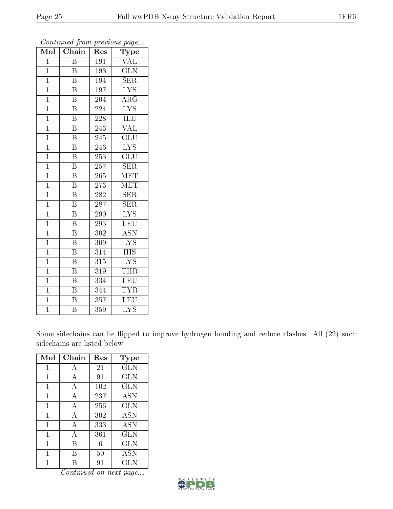| $\overline{\text{Mol}}$ | $\boldsymbol{\omega}$<br>Chain | ×.<br>Res | $\mathbf{r}$<br>$\overline{v}$<br>Type |
|-------------------------|--------------------------------|-----------|----------------------------------------|
| $\overline{1}$          | B                              | 191       | $\overline{\text{VAL}}$                |
| $\mathbf{1}$            | Β                              | 193       | $\widetilde{{\rm GLN}}$                |
| $\overline{1}$          | $\overline{\text{B}}$          | 194       | <b>SER</b>                             |
| $\overline{1}$          | $\overline{B}$                 | 197       | $\overline{\text{LYS}}$                |
| $\overline{1}$          | $\overline{\mathrm{B}}$        | 204       | $\rm{ARG}$                             |
| $\mathbf{1}$            | $\overline{\mathrm{B}}$        | 224       | $\overline{\text{LYS}}$                |
| $\overline{1}$          | $\overline{B}$                 | 228       | <b>ILE</b>                             |
| $\overline{1}$          | $\overline{\mathrm{B}}$        | 243       | <b>VAL</b>                             |
| $\overline{1}$          | $\overline{\text{B}}$          | 245       | $\overline{{\rm GLU}}$                 |
| $\overline{1}$          | $\overline{\mathrm{B}}$        | 246       | $\overline{\text{LYS}}$                |
| $\mathbf{1}$            | $\overline{\mathrm{B}}$        | 253       | $\overline{\text{GLU}}$                |
| $\overline{1}$          | $\overline{\mathrm{B}}$        | 257       | $\overline{\text{SER}}$                |
| $\overline{1}$          | $\overline{B}$                 | 265       | <b>MET</b>                             |
| $\mathbf{1}$            | $\overline{\mathrm{B}}$        | 273       | <b>MET</b>                             |
| $\overline{1}$          | $\overline{\mathrm{B}}$        | 282       | SER                                    |
| $\mathbf{1}$            | B                              | 287       | SER                                    |
| $\overline{1}$          | $\overline{\mathrm{B}}$        | $290\,$   | $\overline{\text{LYS}}$                |
| $\overline{1}$          | $\overline{\mathrm{B}}$        | 293       | LEU                                    |
| $\overline{1}$          | $\overline{B}$                 | 302       | <b>ASN</b>                             |
| $\overline{1}$          | $\overline{\mathrm{B}}$        | 309       | $\overline{\text{LYS}}$                |
| $\overline{1}$          | $\overline{\mathrm{B}}$        | 314       | <b>HIS</b>                             |
| $\overline{1}$          | $\overline{\mathrm{B}}$        | 315       | $\overline{\text{LYS}}$                |
| $\mathbf{1}$            | $\bar{\text{B}}$               | 319       | <b>THR</b>                             |
| $\mathbf{1}$            | $\overline{\mathrm{B}}$        | 334       | LEU                                    |
| $\overline{1}$          | $\overline{B}$                 | 344       | <b>TYR</b>                             |
| $\mathbf{1}$            | $\overline{\mathrm{B}}$        | 357       | LEU                                    |
| $\bar{1}$               | $\overline{\mathrm{B}}$        | 359       | $\overline{\text{LYS}}$                |

Some sidechains can be flipped to improve hydrogen bonding and reduce clashes. All (22) such sidechains are listed below:

| Mol | Chain          | Res | Type       |
|-----|----------------|-----|------------|
| 1   | А              | 21  | <b>GLN</b> |
| 1   | $\overline{A}$ | 91  | <b>GLN</b> |
| 1   | А              | 102 | <b>GLN</b> |
| 1   | А              | 237 | <b>ASN</b> |
| 1   | А              | 256 | <b>GLN</b> |
| 1   | А              | 302 | <b>ASN</b> |
| 1   | А              | 333 | <b>ASN</b> |
| 1   | А              | 361 | <b>GLN</b> |
| 1   | В              | 6   | <b>GLN</b> |
| 1   | В              | 50  | ASN        |
|     |                | 91  | <b>GLN</b> |

![](_page_24_Picture_8.jpeg)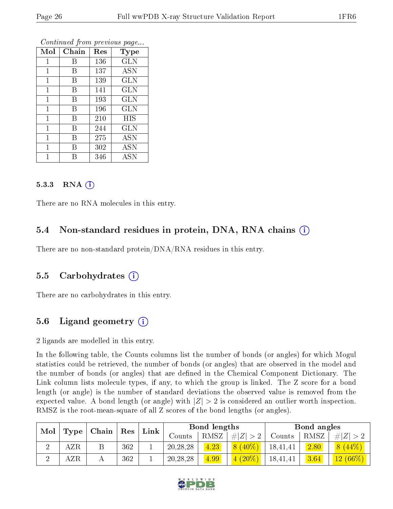| Mol         | Chain | $\operatorname{Res}$ | Type       |
|-------------|-------|----------------------|------------|
| $\mathbf 1$ | В     | 136                  | GLN        |
| 1           | В     | 137                  | <b>ASN</b> |
| 1           | В     | 139                  | <b>GLN</b> |
| 1           | В     | 141                  | GLN        |
| 1           | В     | 193                  | <b>GLN</b> |
| 1           | В     | 196                  | GLN        |
| 1           | B     | 210                  | <b>HIS</b> |
| 1           | R     | 244                  | GLN        |
| 1           | R     | 275                  | <b>ASN</b> |
| 1           | R     | 302                  | <b>ASN</b> |
|             |       | 346                  | ASN        |

#### 5.3.3 RNA  $(i)$

There are no RNA molecules in this entry.

#### 5.4 Non-standard residues in protein, DNA, RNA chains (i)

There are no non-standard protein/DNA/RNA residues in this entry.

#### 5.5 Carbohydrates  $(i)$

There are no carbohydrates in this entry.

### 5.6 Ligand geometry  $(i)$

2 ligands are modelled in this entry.

In the following table, the Counts columns list the number of bonds (or angles) for which Mogul statistics could be retrieved, the number of bonds (or angles) that are observed in the model and the number of bonds (or angles) that are defined in the Chemical Component Dictionary. The Link column lists molecule types, if any, to which the group is linked. The Z score for a bond length (or angle) is the number of standard deviations the observed value is removed from the expected value. A bond length (or angle) with  $|Z| > 2$  is considered an outlier worth inspection. RMSZ is the root-mean-square of all Z scores of the bond lengths (or angles).

| Mol |                                 |  |      |        |            |             |                            |          |      | $\operatorname{Res}$ |  | Bond lengths |  |  | Bond angles |  |  |
|-----|---------------------------------|--|------|--------|------------|-------------|----------------------------|----------|------|----------------------|--|--------------|--|--|-------------|--|--|
|     | $\mid$ Type $\mid$ Chain $\mid$ |  | Link | Counts | RMSZ       | # $ Z  > 2$ | Counts                     | RMSZ     | Z    |                      |  |              |  |  |             |  |  |
|     | $_{\rm AZR}$                    |  | 362  |        | 20, 28, 28 | 4.23        | $(40\%)$<br>8 <sup>1</sup> | 18,41,41 | 2.80 | $8(44\%)$            |  |              |  |  |             |  |  |
|     | $_{\rm AZR}$                    |  | 362  |        | 20, 28, 28 | 4.99        | $(20\%)$<br>4              | 18,41,41 | 3.64 | $12(66\%)$           |  |              |  |  |             |  |  |

![](_page_25_Picture_15.jpeg)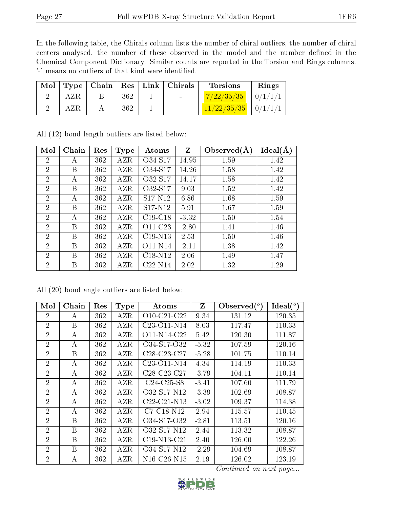In the following table, the Chirals column lists the number of chiral outliers, the number of chiral centers analysed, the number of these observed in the model and the number defined in the Chemical Component Dictionary. Similar counts are reported in the Torsion and Rings columns. '-' means no outliers of that kind were identified.

| Mol |     |     | Type   Chain   Res   Link   Chirals | <b>Torsions</b>                | Rings |
|-----|-----|-----|-------------------------------------|--------------------------------|-------|
|     | AZR | 362 | <b>Contract Contract</b>            | $\frac{7}{22/35/35}$   0/1/1/1 |       |
|     | AZR | 362 | <b>Contract Contract Contract</b>   | $11/22/35/35$   0/1/1/1        |       |

| Mol            | Chain | Res | <b>Type</b>  | Atoms                            | $Z_{\rm}$ | Observed $(A)$ | Ideal(A) |
|----------------|-------|-----|--------------|----------------------------------|-----------|----------------|----------|
| $\overline{2}$ | A     | 362 | AZR          | O34-S17                          | 14.95     | 1.59           | 1.42     |
| $\overline{2}$ | B     | 362 | AZR          | O34-S17                          | 14.26     | 1.58           | 1.42     |
| $\overline{2}$ | A     | 362 | AZR          | O32-S17                          | 14.17     | 1.58           | 1.42     |
| $\overline{2}$ | B     | 362 | AZR          | O32-S17                          | 9.03      | 1.52           | 1.42     |
| $\overline{2}$ | А     | 362 | AZR          | S <sub>17</sub> -N <sub>12</sub> | 6.86      | 1.68           | 1.59     |
| $\overline{2}$ | B     | 362 | AZR          | S <sub>17</sub> -N <sub>12</sub> | 5.91      | 1.67           | 1.59     |
| $\overline{2}$ | А     | 362 | AZR          | $C19-C18$                        | $-3.32$   | 1.50           | 1.54     |
| $\overline{2}$ | B     | 362 | AZR          | O11-C23                          | $-2.80$   | 1.41           | 1.46     |
| $\overline{2}$ | B     | 362 | AZR          | $C19-N13$                        | 2.53      | 1.50           | 1.46     |
| $\overline{2}$ | B     | 362 | AZR          | $O11-N14$                        | $-2.11$   | 1.38           | 1.42     |
| $\overline{2}$ | B     | 362 | AZR          | $C18-N12$                        | 2.06      | 1.49           | 1.47     |
| $\overline{2}$ | B     | 362 | $_{\rm AZR}$ | $C22-N14$                        | 2.02      | 1.32           | 1.29     |

All (12) bond length outliers are listed below:

All (20) bond angle outliers are listed below:

| Mol            | Chain | Res | <b>Type</b> | Atoms                                             | Z       | Observed $(°)$ | Ideal $(^\circ)$ |
|----------------|-------|-----|-------------|---------------------------------------------------|---------|----------------|------------------|
| $\overline{2}$ | A     | 362 | AZR         | O10-C21-C22                                       | 9.34    | 131.12         | 120.35           |
| $\overline{2}$ | B     | 362 | AZR         | C <sub>23</sub> -O <sub>11</sub> -N <sub>14</sub> | 8.03    | 117.47         | 110.33           |
| $\overline{2}$ | А     | 362 | AZR         | $O11-N14-C22$                                     | 5.42    | 120.30         | 111.87           |
| $\overline{2}$ | A     | 362 | AZR         | O34-S17-O32                                       | $-5.32$ | 107.59         | 120.16           |
| $\overline{2}$ | B     | 362 | AZR         | $C28-C23-C27$                                     | $-5.28$ | 101.75         | 110.14           |
| $\overline{2}$ | А     | 362 | AZR         | C <sub>23</sub> -O <sub>11</sub> -N <sub>14</sub> | 4.34    | 114.19         | 110.33           |
| $\overline{2}$ | А     | 362 | AZR         | C28-C23-C27                                       | $-3.79$ | 104.11         | 110.14           |
| $\overline{2}$ | A     | 362 | AZR         | C <sub>24</sub> -C <sub>25</sub> -S <sub>8</sub>  | $-3.41$ | 107.60         | 111.79           |
| $\overline{2}$ | А     | 362 | AZR         | O32-S17-N12                                       | $-3.39$ | 102.69         | 108.87           |
| $\overline{2}$ | А     | 362 | AZR         | $C22-C21-N13$                                     | $-3.02$ | 109.37         | 114.38           |
| $\overline{2}$ | А     | 362 | AZR         | C7-C18-N12                                        | 2.94    | 115.57         | 110.45           |
| $\overline{2}$ | B     | 362 | <b>AZR</b>  | O34-S17-O32                                       | $-2.81$ | 113.51         | 120.16           |
| $\overline{2}$ | B     | 362 | AZR         | O32-S17-N12                                       | 2.44    | 113.32         | 108.87           |
| $\overline{2}$ | B     | 362 | AZR         | $C19-N13-C21$                                     | 2.40    | 126.00         | 122.26           |
| $\overline{2}$ | B     | 362 | AZR         | O34-S17-N12                                       | $-2.29$ | 104.69         | 108.87           |
| $\overline{2}$ | А     | 362 | AZR         | N <sub>16</sub> -C <sub>26</sub> -N <sub>15</sub> | 2.19    | 126.02         | 123.19           |

![](_page_26_Picture_10.jpeg)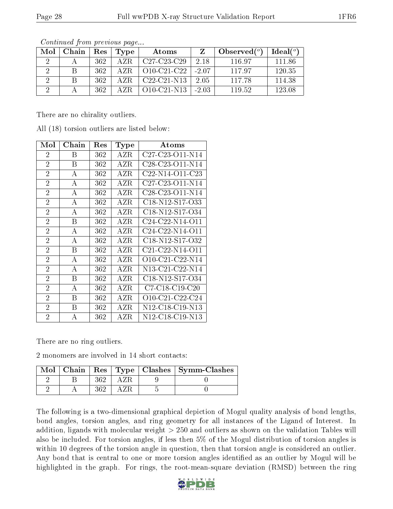|--|

| Mol | Chain | Res | Type         | Atoms                                   |         | Observed $(°)$ | Ideal $(°)$ |
|-----|-------|-----|--------------|-----------------------------------------|---------|----------------|-------------|
| 2   |       | 362 | AZR.         | $C27-C23-C29$                           | 2.18    | 116.97         | 11186       |
| 9   |       | 362 | AZR.         | $010$ -C <sub>21</sub> -C <sub>22</sub> | $-2.07$ | 11797          | 120.35      |
|     |       | 362 | AZR.         | $C22-C21-N13$                           | -2.05   | 117.78         | 114.38      |
|     |       | 362 | $\Delta$ 7 R | $O10-C21-N13$                           | $-2.03$ | 119.52         | 123.08      |

There are no chirality outliers.

All (18) torsion outliers are listed below:

| Mol            | Chain | Res | Type         | Atoms                                                              |
|----------------|-------|-----|--------------|--------------------------------------------------------------------|
| 2              | В     | 362 | AZR          | C <sub>27</sub> -C <sub>23</sub> -O <sub>11</sub> -N <sub>14</sub> |
| $\overline{2}$ | В     | 362 | AZR          | C <sub>28</sub> -C <sub>23</sub> -O <sub>11</sub> -N <sub>14</sub> |
| $\overline{2}$ | А     | 362 | AZR          | C <sub>22</sub> -N <sub>14</sub> -O <sub>11</sub> -C <sub>23</sub> |
| $\overline{2}$ | А     | 362 | AZR          | C <sub>27</sub> -C <sub>23</sub> -O <sub>11</sub> -N <sub>14</sub> |
| $\overline{2}$ | A     | 362 | AZR          | C <sub>28</sub> -C <sub>23</sub> -O <sub>11</sub> -N <sub>14</sub> |
| $\overline{2}$ | А     | 362 | $_{\rm AZR}$ | C <sub>18</sub> -N <sub>12</sub> -S <sub>17</sub> -O <sub>33</sub> |
| $\overline{2}$ | А     | 362 | AZR          | C18-N12-S17-O34                                                    |
| $\overline{2}$ | В     | 362 | AZR          | $C24-C22-N14-O11$                                                  |
| $\overline{2}$ | А     | 362 | AZR.         | $C24-C22-N14-O11$                                                  |
| $\overline{2}$ | А     | 362 | AZR          | C18-N12-S17-O32                                                    |
| $\overline{2}$ | Β     | 362 | AZR          | C <sub>21</sub> -C <sub>22</sub> -N <sub>14</sub> -O <sub>11</sub> |
| $\overline{2}$ | А     | 362 | AZR          | $O10-C21-C22-N14$                                                  |
| $\overline{2}$ | А     | 362 | $_{\rm AZR}$ | N13-C21-C22-N14                                                    |
| $\overline{2}$ | В     | 362 | AZR          | C <sub>18</sub> -N <sub>12</sub> -S <sub>17</sub> -O <sub>34</sub> |
| $\overline{2}$ | А     | 362 | $_{\rm AZR}$ | $C7-C18-C19-C20$                                                   |
| $\overline{2}$ | Β     | 362 | AZR          | O10-C21-C22-C24                                                    |
| $\overline{2}$ | В     | 362 | AZR          | N <sub>12</sub> -C <sub>18</sub> -C <sub>19</sub> -N <sub>13</sub> |
| $\overline{2}$ | Α     | 362 | AZR          | N12-C18-C19-N13                                                    |

There are no ring outliers.

2 monomers are involved in 14 short contacts:

|  |  | Mol   Chain   Res   Type   Clashes   Symm-Clashes |
|--|--|---------------------------------------------------|
|  |  |                                                   |
|  |  |                                                   |

The following is a two-dimensional graphical depiction of Mogul quality analysis of bond lengths, bond angles, torsion angles, and ring geometry for all instances of the Ligand of Interest. In addition, ligands with molecular weight > 250 and outliers as shown on the validation Tables will also be included. For torsion angles, if less then 5% of the Mogul distribution of torsion angles is within 10 degrees of the torsion angle in question, then that torsion angle is considered an outlier. Any bond that is central to one or more torsion angles identified as an outlier by Mogul will be highlighted in the graph. For rings, the root-mean-square deviation (RMSD) between the ring

![](_page_27_Picture_12.jpeg)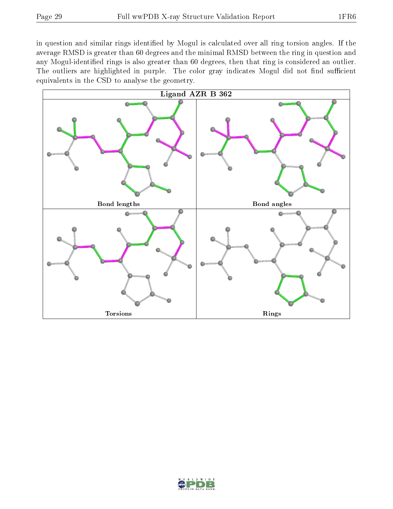in question and similar rings identified by Mogul is calculated over all ring torsion angles. If the average RMSD is greater than 60 degrees and the minimal RMSD between the ring in question and any Mogul-identified rings is also greater than 60 degrees, then that ring is considered an outlier. The outliers are highlighted in purple. The color gray indicates Mogul did not find sufficient equivalents in the CSD to analyse the geometry.

![](_page_28_Figure_4.jpeg)

![](_page_28_Picture_5.jpeg)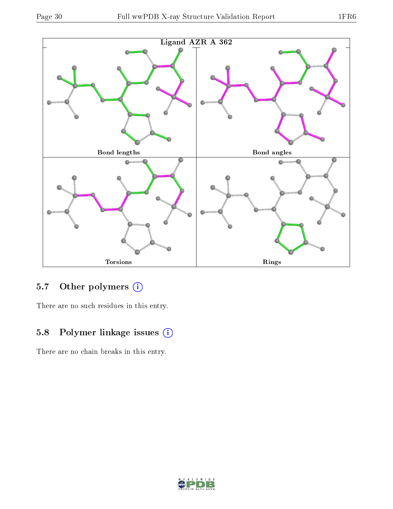![](_page_29_Figure_3.jpeg)

# 5.7 [O](https://www.wwpdb.org/validation/2017/XrayValidationReportHelp#nonstandard_residues_and_ligands)ther polymers (i)

There are no such residues in this entry.

# 5.8 Polymer linkage issues (i)

There are no chain breaks in this entry.

![](_page_29_Picture_8.jpeg)